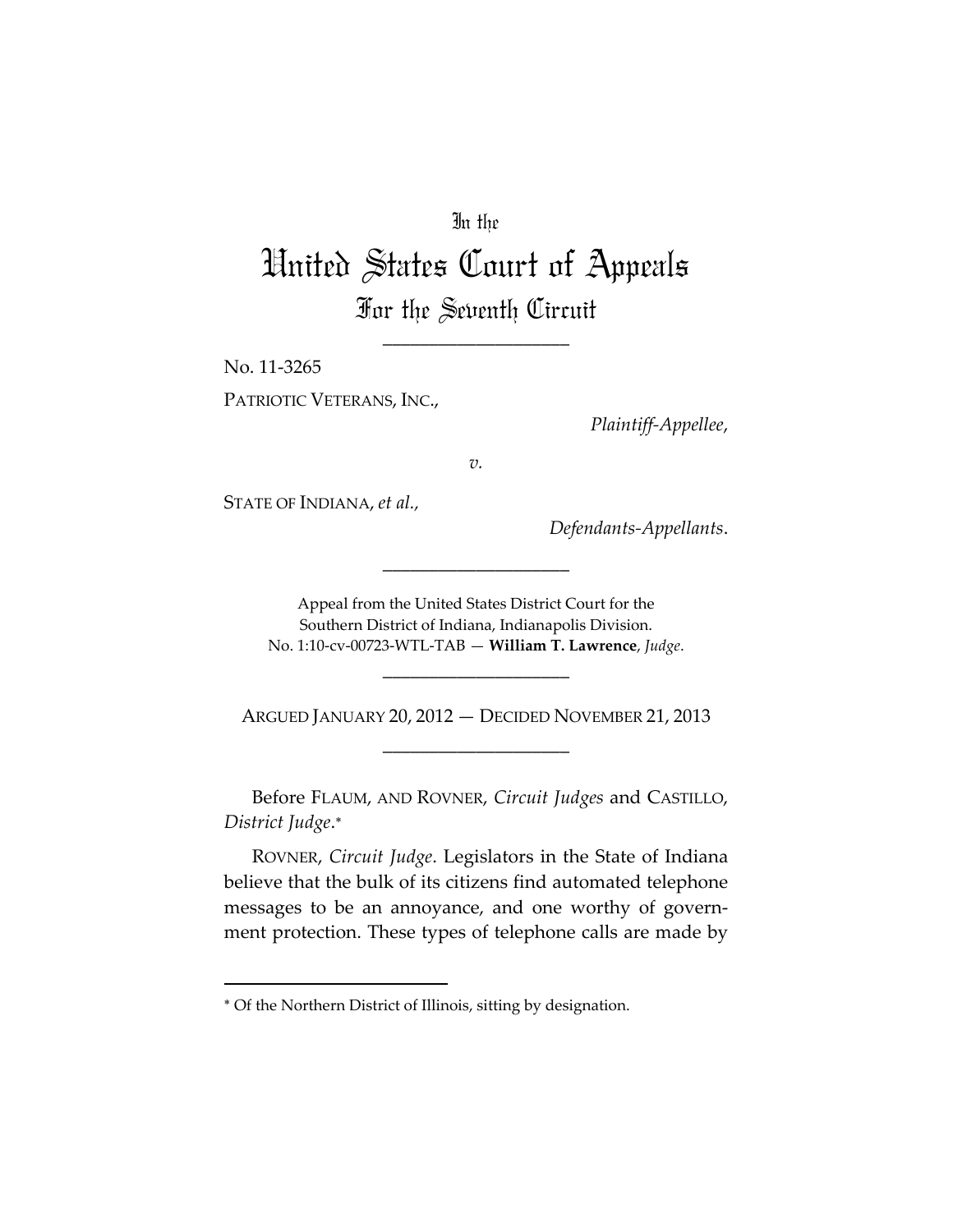## In the

## United States Court of Appeals For the Seventh Circuit

\_\_\_\_\_\_\_\_\_\_\_\_\_\_\_\_\_\_\_\_

No. 11‐3265 PATRIOTIC VETERANS, INC.,

*Plaintiff‐Appellee*,

*v.*

STATE OF INDIANA, *et al.,*

*Defendants‐Appellants*.

Appeal from the United States District Court for the Southern District of Indiana, Indianapolis Division. No. 1:10‐cv‐00723‐WTL‐TAB — **William T. Lawrence**, *Judge*.

\_\_\_\_\_\_\_\_\_\_\_\_\_\_\_\_\_\_\_\_

ARGUED JANUARY 20, 2012 — DECIDED NOVEMBER 21, 2013 \_\_\_\_\_\_\_\_\_\_\_\_\_\_\_\_\_\_\_\_

\_\_\_\_\_\_\_\_\_\_\_\_\_\_\_\_\_\_\_\_

Before FLAUM, AND ROVNER, *Circuit Judges* and CASTILLO, *District Judge*.

ROVNER, *Circuit Judge*. Legislators in the State of Indiana believe that the bulk of its citizens find automated telephone messages to be an annoyance, and one worthy of govern‐ ment protection. These types of telephone calls are made by

Of the Northern District of Illinois, sitting by designation.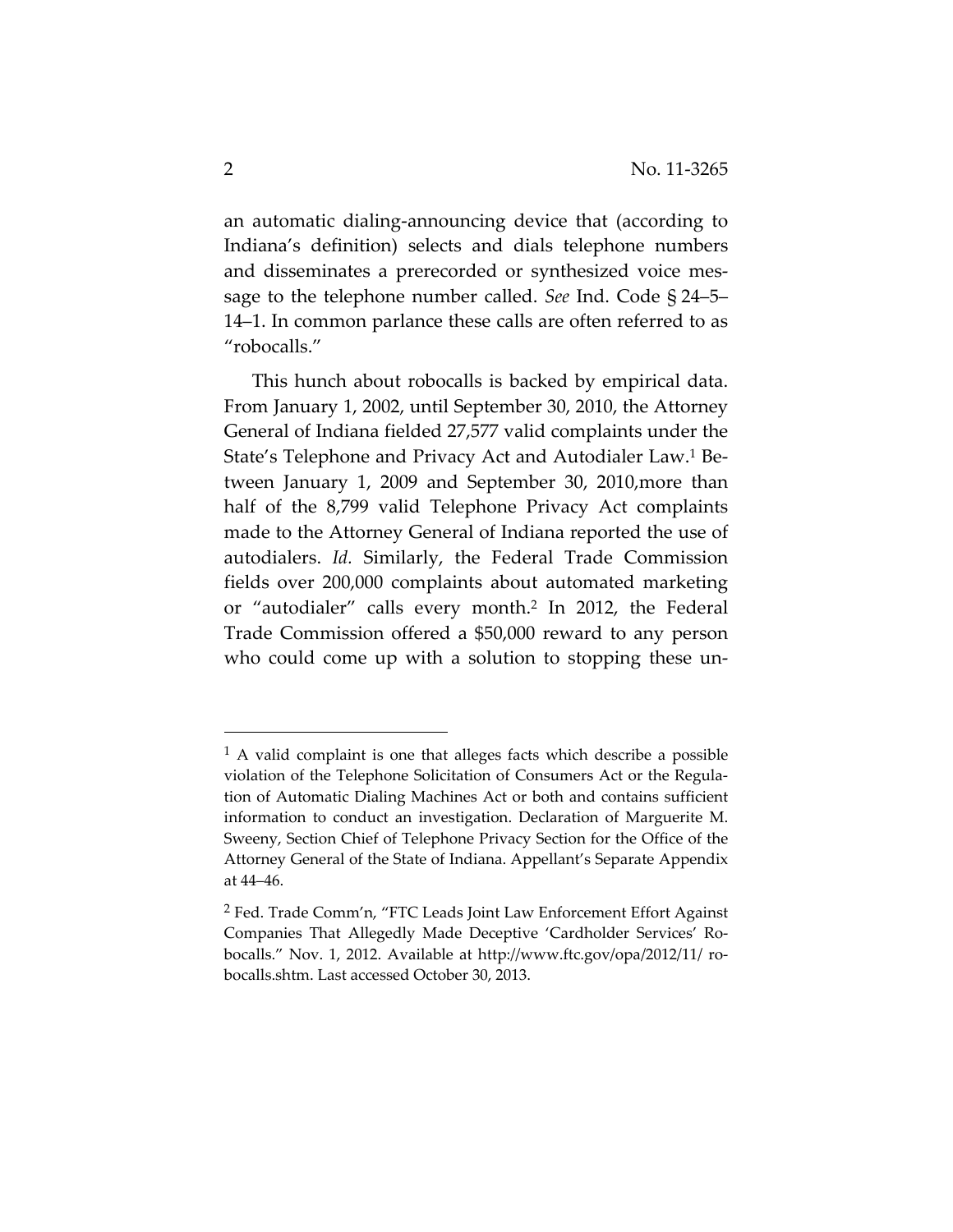an automatic dialing‐announcing device that (according to Indiana's definition) selects and dials telephone numbers and disseminates a prerecorded or synthesized voice mes‐ sage to the telephone number called. *See* Ind. Code § 24–5– 14–1. In common parlance these calls are often referred to as "robocalls."

This hunch about robocalls is backed by empirical data. From January 1, 2002, until September 30, 2010, the Attorney General of Indiana fielded 27,577 valid complaints under the State's Telephone and Privacy Act and Autodialer Law.<sup>1</sup> Between January 1, 2009 and September 30, 2010,more than half of the 8,799 valid Telephone Privacy Act complaints made to the Attorney General of Indiana reported the use of autodialers. *Id.* Similarly, the Federal Trade Commission fields over 200,000 complaints about automated marketing or "autodialer" calls every month.2 In 2012, the Federal Trade Commission offered a \$50,000 reward to any person who could come up with a solution to stopping these un-

<sup>1</sup> A valid complaint is one that alleges facts which describe a possible violation of the Telephone Solicitation of Consumers Act or the Regula‐ tion of Automatic Dialing Machines Act or both and contains sufficient information to conduct an investigation. Declaration of Marguerite M. Sweeny, Section Chief of Telephone Privacy Section for the Office of the Attorney General of the State of Indiana. Appellant's Separate Appendix at 44–46.

<sup>2</sup> Fed. Trade Comm'n, "FTC Leads Joint Law Enforcement Effort Against Companies That Allegedly Made Deceptive 'Cardholder Services' Ro‐ bocalls." Nov. 1, 2012. Available at http://www.ftc.gov/opa/2012/11/ ro‐ bocalls.shtm. Last accessed October 30, 2013.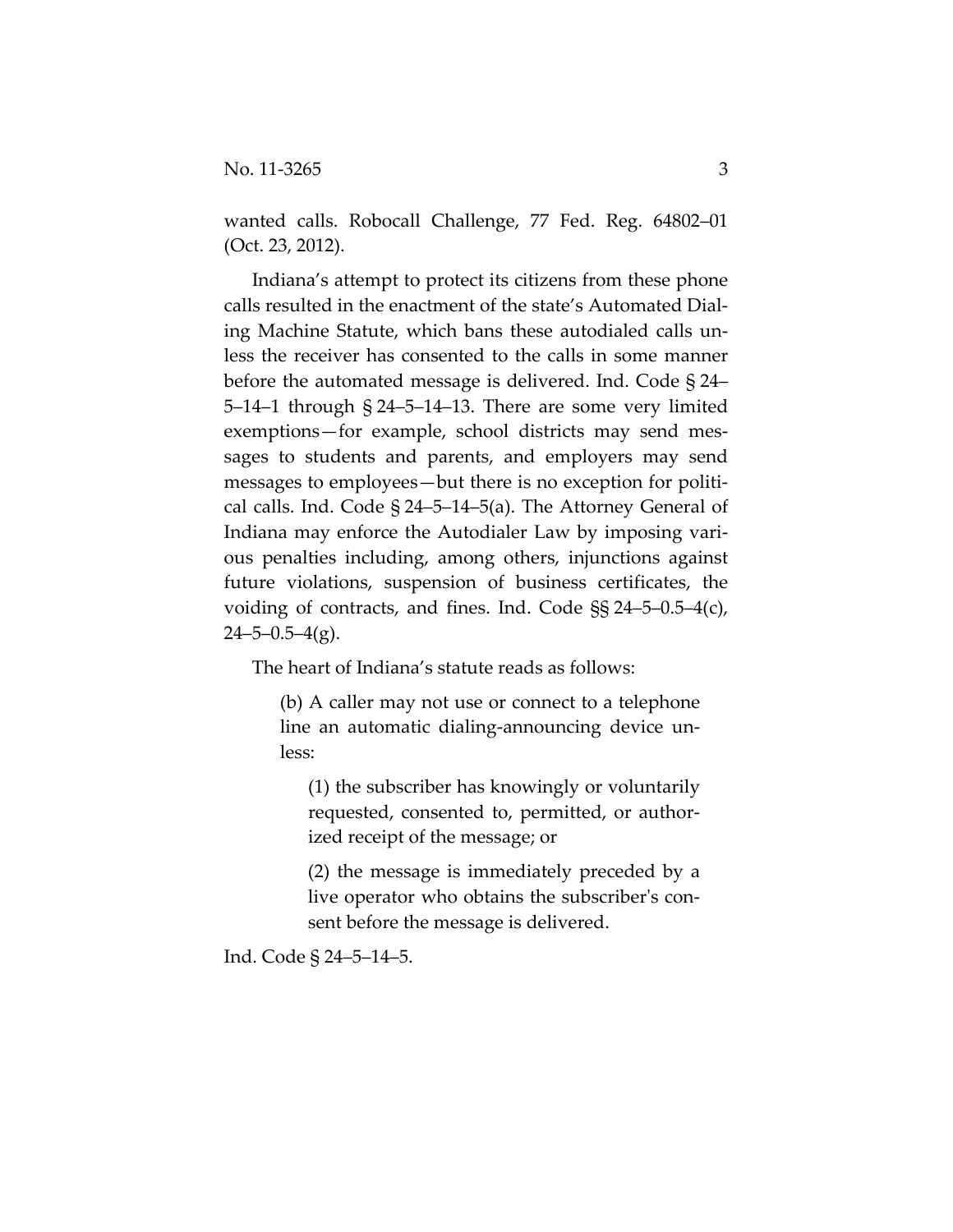wanted calls. Robocall Challenge, 77 Fed. Reg. 64802–01 (Oct. 23, 2012).

Indiana's attempt to protect its citizens from these phone calls resulted in the enactment of the state's Automated Dial‐ ing Machine Statute, which bans these autodialed calls un‐ less the receiver has consented to the calls in some manner before the automated message is delivered. Ind. Code § 24– 5–14–1 through § 24–5–14–13. There are some very limited exemptions—for example, school districts may send messages to students and parents, and employers may send messages to employees—but there is no exception for political calls. Ind. Code § 24–5–14–5(a). The Attorney General of Indiana may enforce the Autodialer Law by imposing vari‐ ous penalties including, among others, injunctions against future violations, suspension of business certificates, the voiding of contracts, and fines. Ind. Code §§ 24–5–0.5–4(c),  $24 - 5 - 0.5 - 4(g)$ .

The heart of Indiana's statute reads as follows:

(b) A caller may not use or connect to a telephone line an automatic dialing‐announcing device un‐ less:

(1) the subscriber has knowingly or voluntarily requested, consented to, permitted, or author‐ ized receipt of the message; or

(2) the message is immediately preceded by a live operator who obtains the subscriber's consent before the message is delivered.

Ind. Code § 24–5–14–5.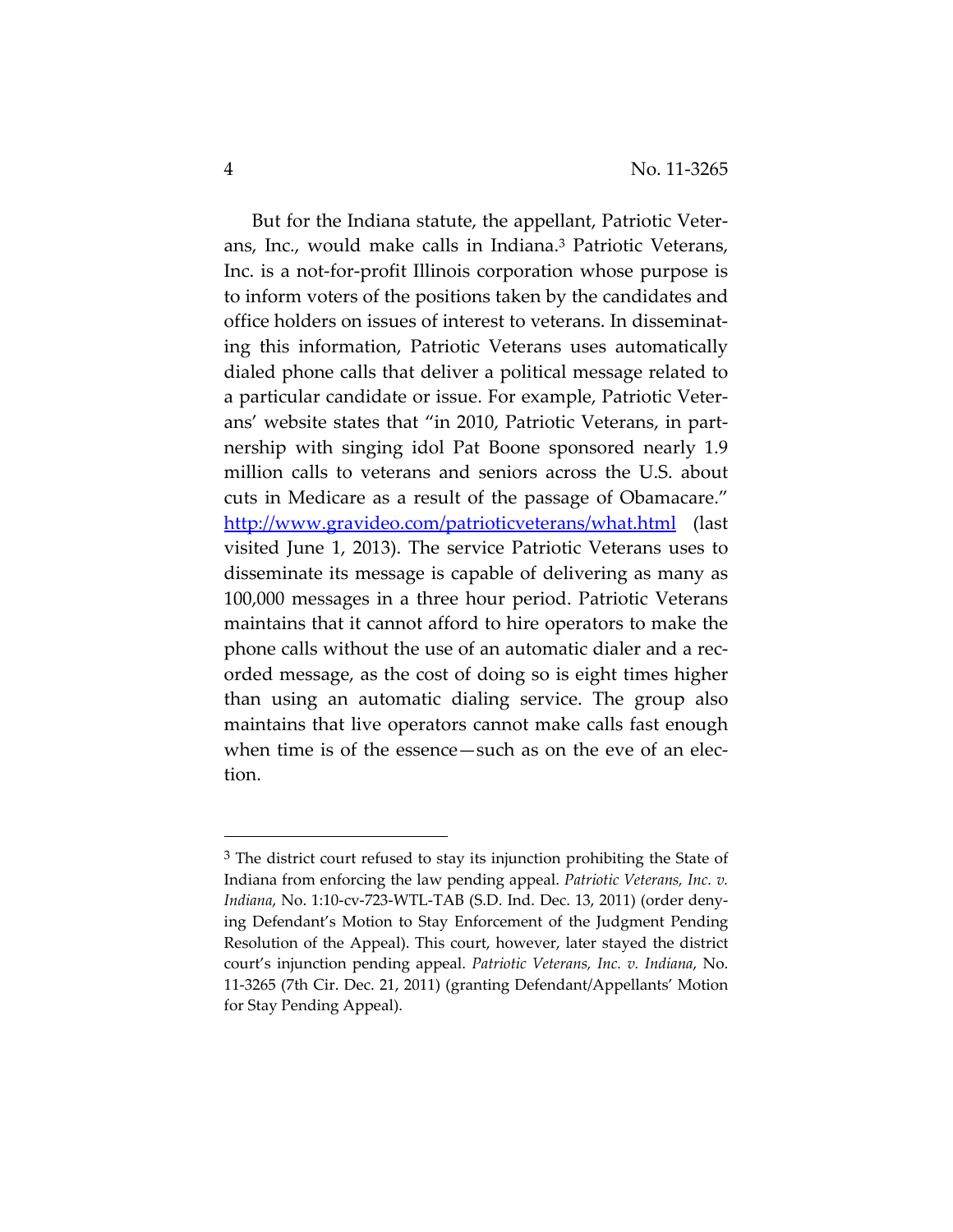But for the Indiana statute, the appellant, Patriotic Veter‐ ans, Inc., would make calls in Indiana.3 Patriotic Veterans, Inc. is a not‐for‐profit Illinois corporation whose purpose is to inform voters of the positions taken by the candidates and office holders on issues of interest to veterans. In disseminat‐ ing this information, Patriotic Veterans uses automatically dialed phone calls that deliver a political message related to a particular candidate or issue. For example, Patriotic Veter‐ ans' website states that "in 2010, Patriotic Veterans, in part‐ nership with singing idol Pat Boone sponsored nearly 1.9 million calls to veterans and seniors across the U.S. about cuts in Medicare as a result of the passage of Obamacare." http://www.gravideo.com/patrioticveterans/what.html (last visited June 1, 2013). The service Patriotic Veterans uses to disseminate its message is capable of delivering as many as 100,000 messages in a three hour period. Patriotic Veterans maintains that it cannot afford to hire operators to make the phone calls without the use of an automatic dialer and a rec‐ orded message, as the cost of doing so is eight times higher than using an automatic dialing service. The group also maintains that live operators cannot make calls fast enough when time is of the essence—such as on the eve of an election.

 $3$  The district court refused to stay its injunction prohibiting the State of Indiana from enforcing the law pending appeal. *Patriotic Veterans, Inc. v. Indiana*, No. 1:10‐cv‐723‐WTL‐TAB (S.D. Ind. Dec. 13, 2011) (order deny‐ ing Defendant's Motion to Stay Enforcement of the Judgment Pending Resolution of the Appeal). This court, however, later stayed the district court's injunction pending appeal. *Patriotic Veterans, Inc. v. Indiana*, No. 11‐3265 (7th Cir. Dec. 21, 2011) (granting Defendant/Appellants' Motion for Stay Pending Appeal).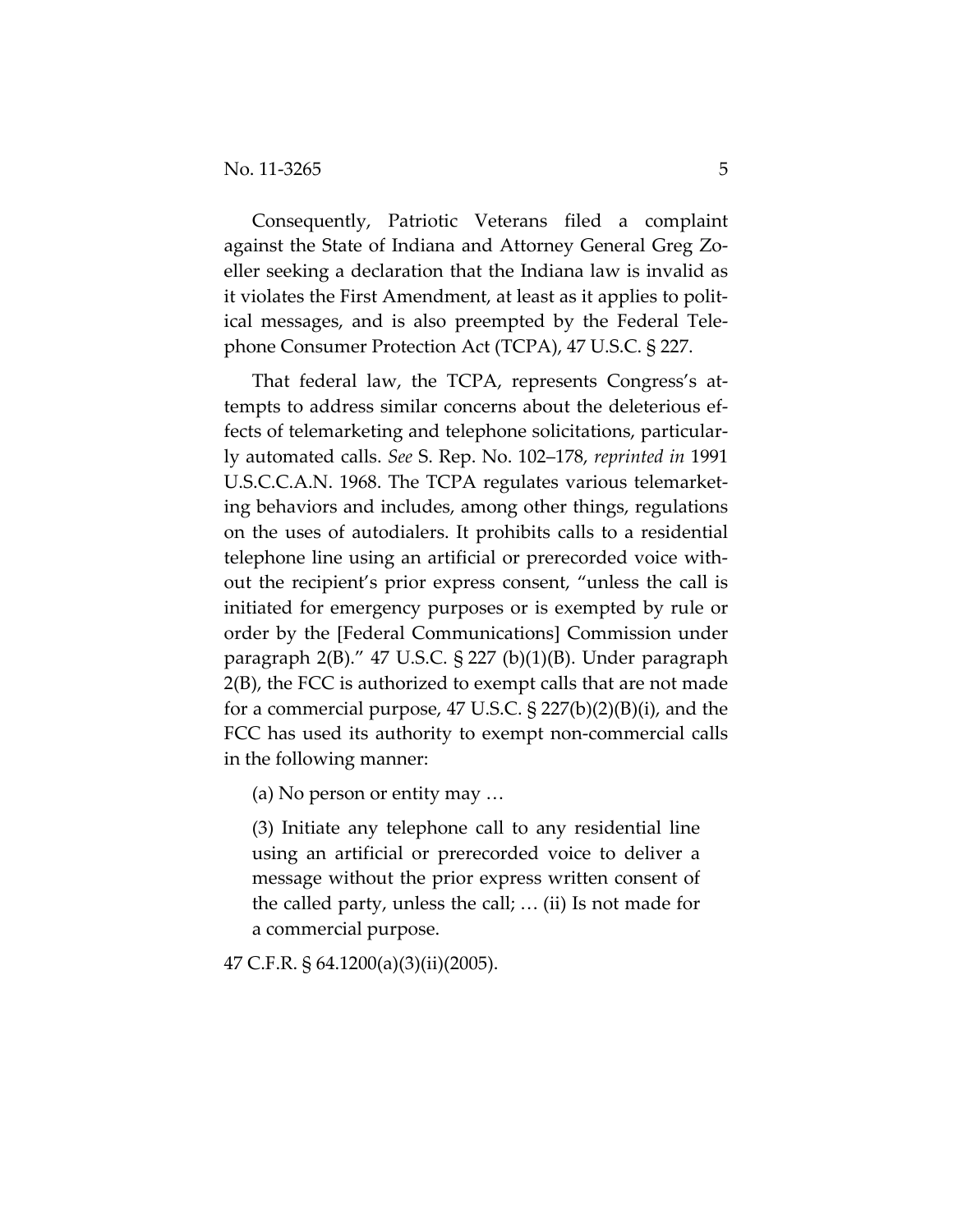Consequently, Patriotic Veterans filed a complaint against the State of Indiana and Attorney General Greg Zo‐ eller seeking a declaration that the Indiana law is invalid as it violates the First Amendment, at least as it applies to polit‐ ical messages, and is also preempted by the Federal Tele‐ phone Consumer Protection Act (TCPA), 47 U.S.C. § 227.

That federal law, the TCPA, represents Congress's at‐ tempts to address similar concerns about the deleterious ef‐ fects of telemarketing and telephone solicitations, particularly automated calls. *See* S. Rep. No. 102–178, *reprinted in* 1991 U.S.C.C.A.N. 1968. The TCPA regulates various telemarket‐ ing behaviors and includes, among other things, regulations on the uses of autodialers. It prohibits calls to a residential telephone line using an artificial or prerecorded voice with‐ out the recipient's prior express consent, "unless the call is initiated for emergency purposes or is exempted by rule or order by the [Federal Communications] Commission under paragraph 2(B)." 47 U.S.C. § 227 (b)(1)(B). Under paragraph 2(B), the FCC is authorized to exempt calls that are not made for a commercial purpose, 47 U.S.C.  $\S 227(b)(2)(B)(i)$ , and the FCC has used its authority to exempt non‐commercial calls in the following manner:

(a) No person or entity may …

(3) Initiate any telephone call to any residential line using an artificial or prerecorded voice to deliver a message without the prior express written consent of the called party, unless the call; … (ii) Is not made for a commercial purpose.

47 C.F.R. § 64.1200(a)(3)(ii)(2005).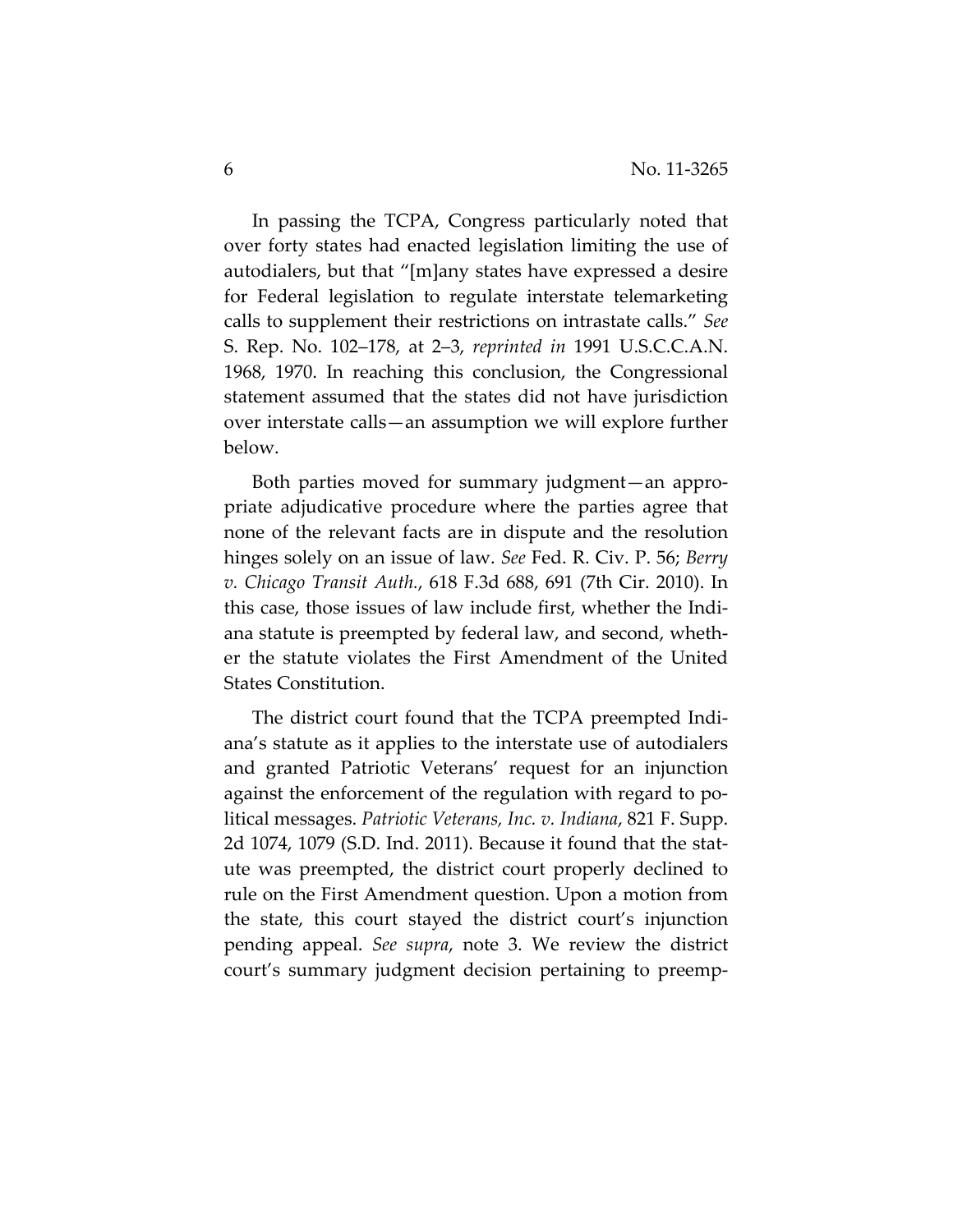In passing the TCPA, Congress particularly noted that over forty states had enacted legislation limiting the use of autodialers, but that "[m]any states have expressed a desire for Federal legislation to regulate interstate telemarketing calls to supplement their restrictions on intrastate calls." *See* S. Rep. No. 102–178, at 2–3, *reprinted in* 1991 U.S.C.C.A.N. 1968, 1970. In reaching this conclusion, the Congressional statement assumed that the states did not have jurisdiction over interstate calls—an assumption we will explore further below.

Both parties moved for summary judgment—an appro‐ priate adjudicative procedure where the parties agree that none of the relevant facts are in dispute and the resolution hinges solely on an issue of law. *See* Fed. R. Civ. P. 56; *Berry v. Chicago Transit Auth.*, 618 F.3d 688, 691 (7th Cir. 2010). In this case, those issues of law include first, whether the Indi‐ ana statute is preempted by federal law, and second, wheth‐ er the statute violates the First Amendment of the United States Constitution.

The district court found that the TCPA preempted Indi‐ ana's statute as it applies to the interstate use of autodialers and granted Patriotic Veterans' request for an injunction against the enforcement of the regulation with regard to po‐ litical messages. *Patriotic Veterans, Inc. v. Indiana*, 821 F. Supp. 2d 1074, 1079 (S.D. Ind. 2011). Because it found that the stat‐ ute was preempted, the district court properly declined to rule on the First Amendment question. Upon a motion from the state, this court stayed the district court's injunction pending appeal. *See supra*, note 3. We review the district court's summary judgment decision pertaining to preemp‐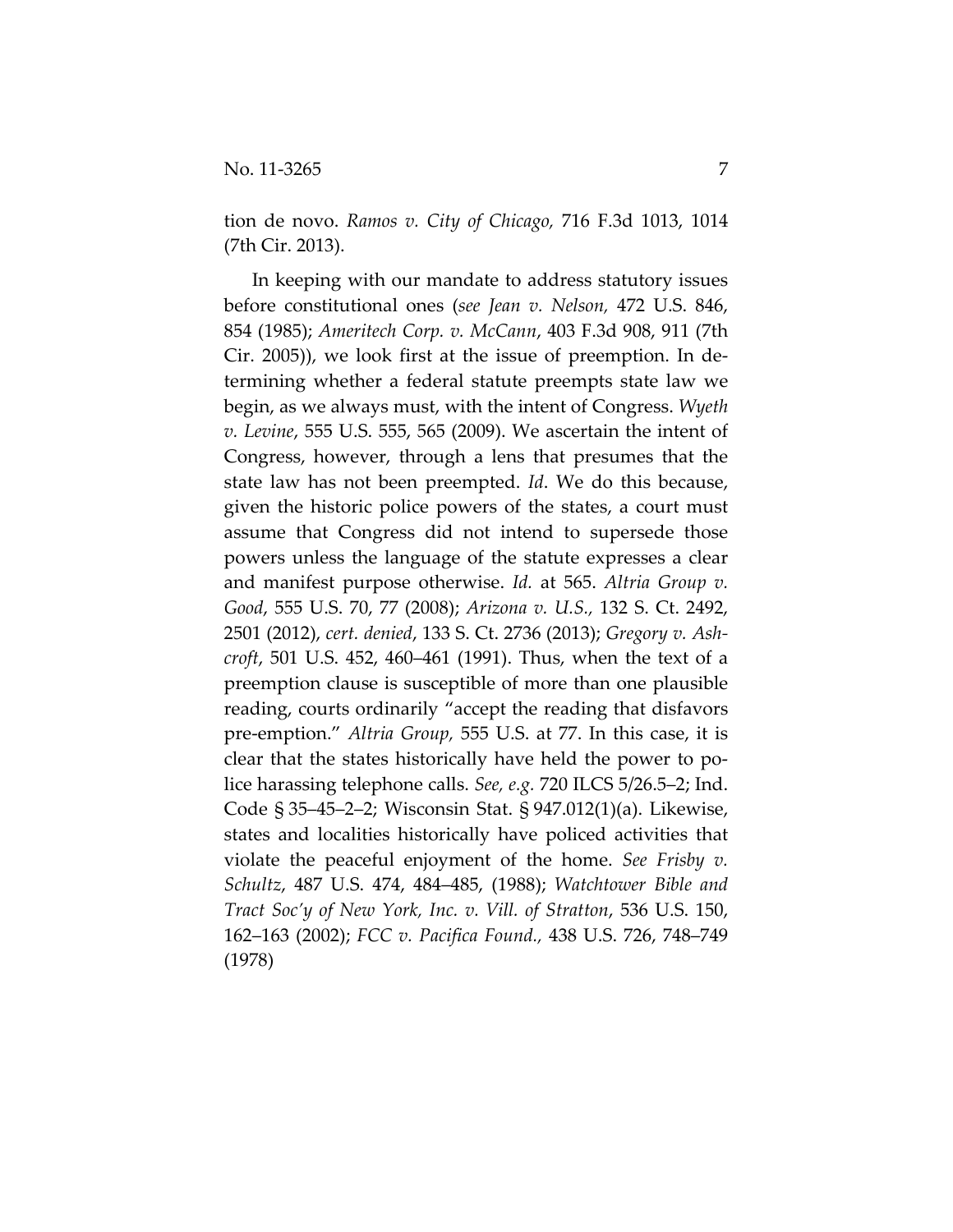tion de novo. *Ramos v. City of Chicago,* 716 F.3d 1013, 1014 (7th Cir. 2013).

In keeping with our mandate to address statutory issues before constitutional ones (*see Jean v. Nelson,* 472 U.S. 846, 854 (1985); *Ameritech Corp. v. McCann*, 403 F.3d 908, 911 (7th Cir. 2005)), we look first at the issue of preemption. In de‐ termining whether a federal statute preempts state law we begin, as we always must, with the intent of Congress. *Wyeth v. Levine*, 555 U.S. 555, 565 (2009). We ascertain the intent of Congress, however, through a lens that presumes that the state law has not been preempted. *Id*. We do this because, given the historic police powers of the states, a court must assume that Congress did not intend to supersede those powers unless the language of the statute expresses a clear and manifest purpose otherwise. *Id.* at 565. *Altria Group v. Good*, 555 U.S. 70, 77 (2008); *Arizona v. U.S.,* 132 S. Ct. 2492, 2501 (2012), *cert. denied*, 133 S. Ct. 2736 (2013); *Gregory v. Ash‐ croft*, 501 U.S. 452, 460–461 (1991). Thus, when the text of a preemption clause is susceptible of more than one plausible reading, courts ordinarily "accept the reading that disfavors pre‐emption." *Altria Group,* 555 U.S. at 77. In this case, it is clear that the states historically have held the power to po‐ lice harassing telephone calls. *See, e.g.* 720 ILCS 5/26.5–2; Ind. Code § 35–45–2–2; Wisconsin Stat. § 947.012(1)(a). Likewise, states and localities historically have policed activities that violate the peaceful enjoyment of the home. *See Frisby v. Schultz*, 487 U.S. 474, 484–485, (1988); *Watchtower Bible and Tract Soc'y of New York, Inc. v. Vill. of Stratton*, 536 U.S. 150, 162–163 (2002); *FCC v. Pacifica Found.,* 438 U.S. 726, 748–749 (1978)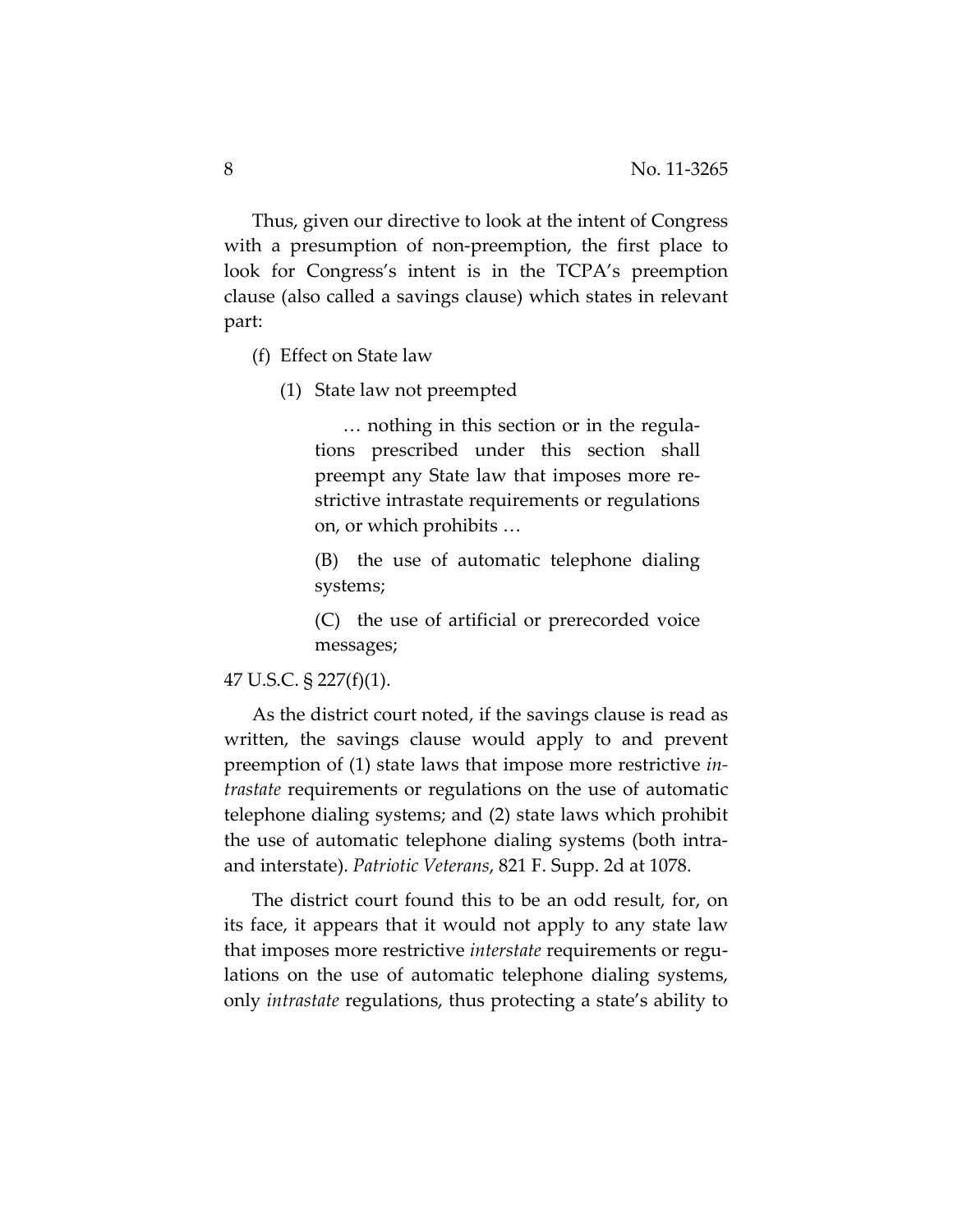Thus, given our directive to look at the intent of Congress with a presumption of non-preemption, the first place to look for Congress's intent is in the TCPA's preemption clause (also called a savings clause) which states in relevant part:

(f) Effect on State law

(1) State law not preempted

… nothing in this section or in the regula‐ tions prescribed under this section shall preempt any State law that imposes more re‐ strictive intrastate requirements or regulations on, or which prohibits …

(B) the use of automatic telephone dialing systems;

(C) the use of artificial or prerecorded voice messages;

## 47 U.S.C. § 227(f)(1).

As the district court noted, if the savings clause is read as written, the savings clause would apply to and prevent preemption of (1) state laws that impose more restrictive *in‐ trastate* requirements or regulations on the use of automatic telephone dialing systems; and (2) state laws which prohibit the use of automatic telephone dialing systems (both intra‐ and interstate). *Patriotic Veterans*, 821 F. Supp. 2d at 1078.

The district court found this to be an odd result, for, on its face, it appears that it would not apply to any state law that imposes more restrictive *interstate* requirements or regu‐ lations on the use of automatic telephone dialing systems, only *intrastate* regulations, thus protecting a state's ability to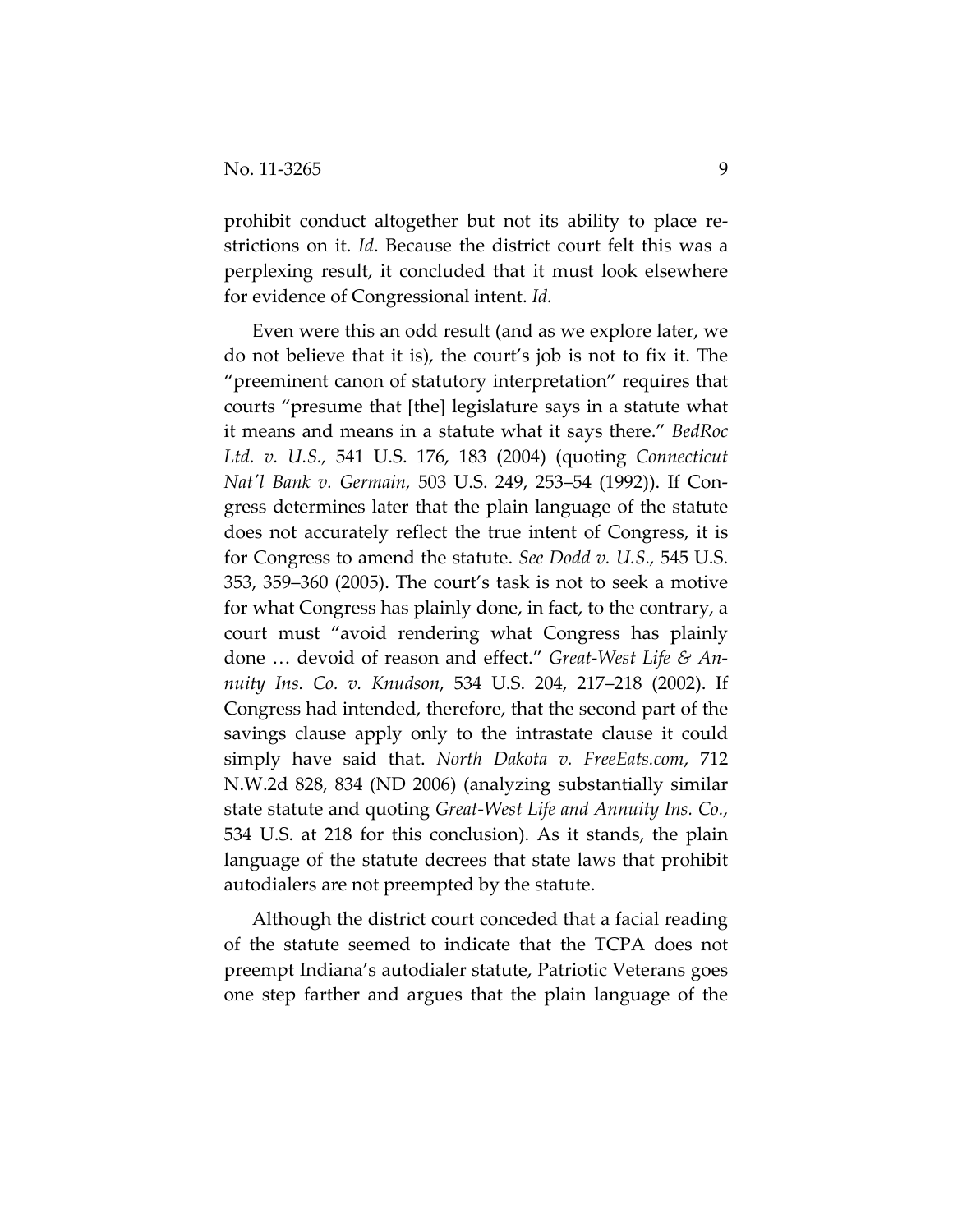prohibit conduct altogether but not its ability to place re‐ strictions on it. *Id*. Because the district court felt this was a perplexing result, it concluded that it must look elsewhere for evidence of Congressional intent. *Id.*

Even were this an odd result (and as we explore later, we do not believe that it is), the court's job is not to fix it. The "preeminent canon of statutory interpretation" requires that courts "presume that [the] legislature says in a statute what it means and means in a statute what it says there." *BedRoc Ltd. v. U.S.,* 541 U.S. 176, 183 (2004) (quoting *Connecticut Natʹl Bank v. Germain,* 503 U.S. 249, 253–54 (1992)). If Con‐ gress determines later that the plain language of the statute does not accurately reflect the true intent of Congress, it is for Congress to amend the statute. *See Dodd v. U.S.,* 545 U.S. 353, 359–360 (2005). The court's task is not to seek a motive for what Congress has plainly done, in fact, to the contrary, a court must "avoid rendering what Congress has plainly done … devoid of reason and effect." *Great‐West Life & An‐ nuity Ins. Co. v. Knudson*, 534 U.S. 204, 217–218 (2002). If Congress had intended, therefore, that the second part of the savings clause apply only to the intrastate clause it could simply have said that. *North Dakota v. FreeEats.com*, 712 N.W.2d 828, 834 (ND 2006) (analyzing substantially similar state statute and quoting *Great‐West Life and Annuity Ins. Co.*, 534 U.S. at 218 for this conclusion). As it stands, the plain language of the statute decrees that state laws that prohibit autodialers are not preempted by the statute.

Although the district court conceded that a facial reading of the statute seemed to indicate that the TCPA does not preempt Indiana's autodialer statute, Patriotic Veterans goes one step farther and argues that the plain language of the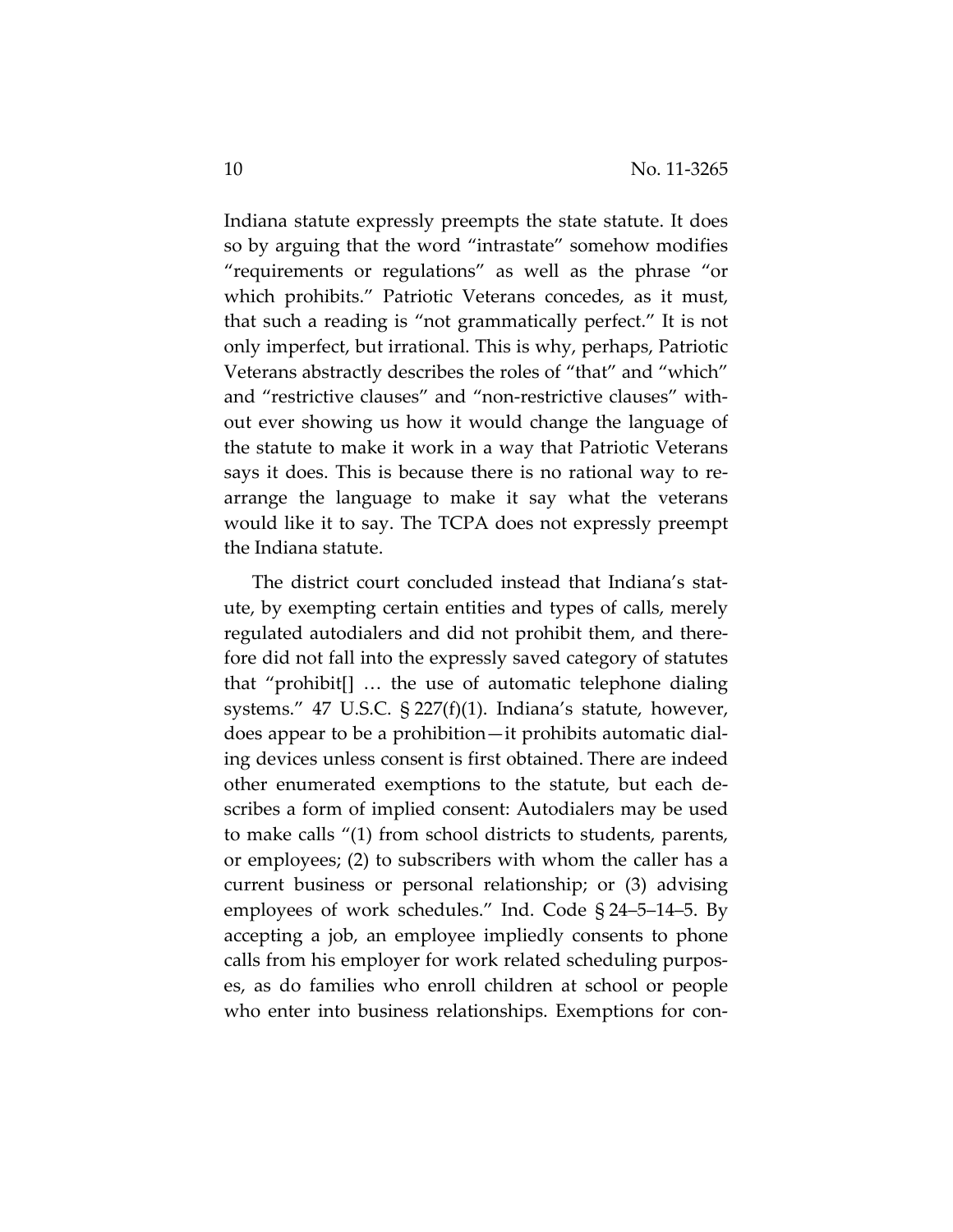Indiana statute expressly preempts the state statute. It does so by arguing that the word "intrastate" somehow modifies "requirements or regulations" as well as the phrase "or which prohibits." Patriotic Veterans concedes, as it must, that such a reading is "not grammatically perfect." It is not only imperfect, but irrational. This is why, perhaps, Patriotic Veterans abstractly describes the roles of "that" and "which" and "restrictive clauses" and "non‐restrictive clauses" with‐ out ever showing us how it would change the language of the statute to make it work in a way that Patriotic Veterans says it does. This is because there is no rational way to re‐ arrange the language to make it say what the veterans would like it to say. The TCPA does not expressly preempt the Indiana statute.

The district court concluded instead that Indiana's stat‐ ute, by exempting certain entities and types of calls, merely regulated autodialers and did not prohibit them, and there‐ fore did not fall into the expressly saved category of statutes that "prohibit[] … the use of automatic telephone dialing systems." 47 U.S.C. § 227(f)(1). Indiana's statute, however, does appear to be a prohibition—it prohibits automatic dial‐ ing devices unless consent is first obtained. There are indeed other enumerated exemptions to the statute, but each de‐ scribes a form of implied consent: Autodialers may be used to make calls "(1) from school districts to students, parents, or employees; (2) to subscribers with whom the caller has a current business or personal relationship; or (3) advising employees of work schedules." Ind. Code § 24–5–14–5. By accepting a job, an employee impliedly consents to phone calls from his employer for work related scheduling purpos‐ es, as do families who enroll children at school or people who enter into business relationships. Exemptions for con-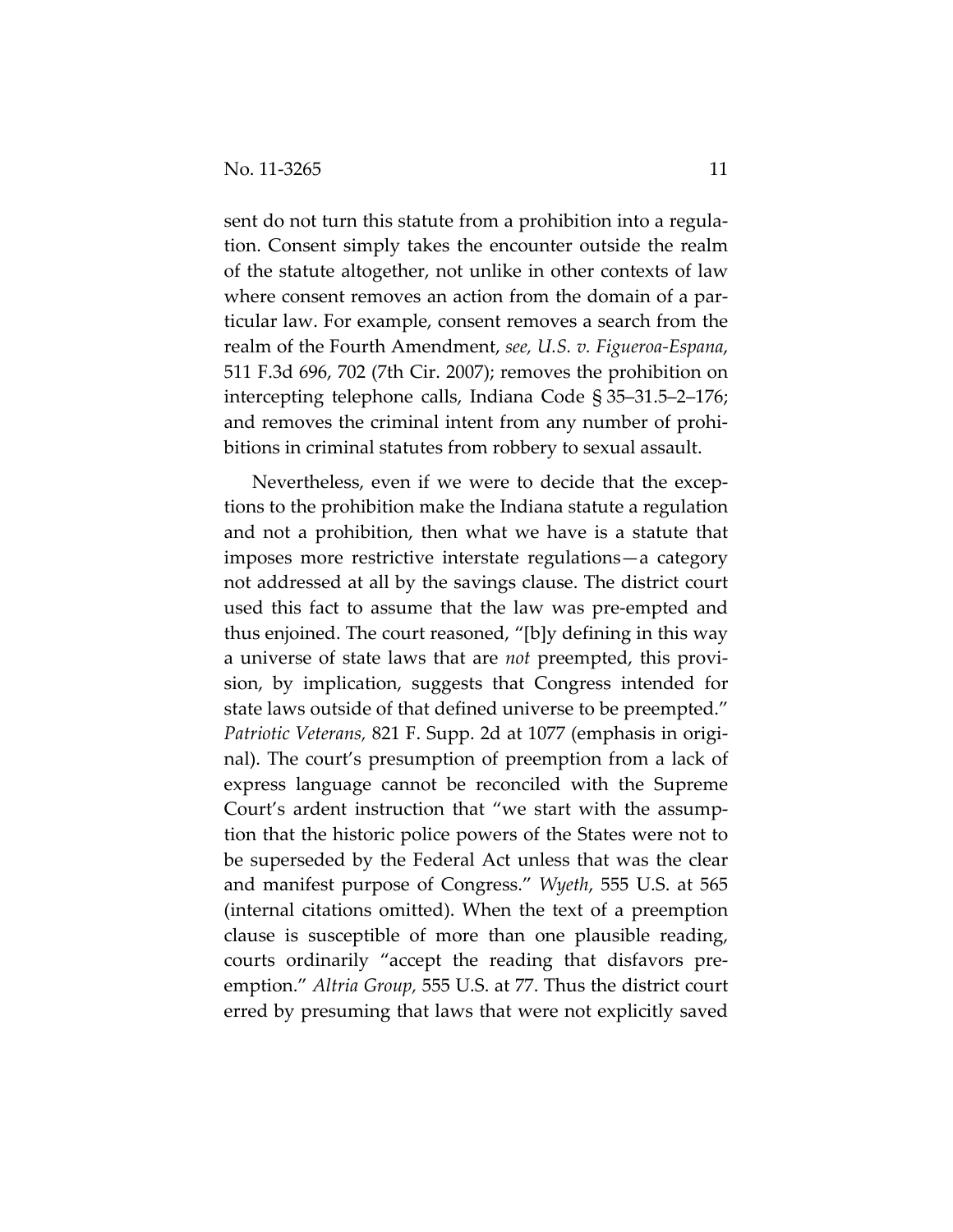sent do not turn this statute from a prohibition into a regulation. Consent simply takes the encounter outside the realm of the statute altogether, not unlike in other contexts of law where consent removes an action from the domain of a particular law. For example, consent removes a search from the realm of the Fourth Amendment, *see, U.S. v. Figueroa‐Espana*, 511 F.3d 696, 702 (7th Cir. 2007); removes the prohibition on intercepting telephone calls, Indiana Code § 35–31.5–2–176; and removes the criminal intent from any number of prohi‐ bitions in criminal statutes from robbery to sexual assault.

Nevertheless, even if we were to decide that the excep‐ tions to the prohibition make the Indiana statute a regulation and not a prohibition, then what we have is a statute that imposes more restrictive interstate regulations—a category not addressed at all by the savings clause. The district court used this fact to assume that the law was pre‐empted and thus enjoined. The court reasoned, "[b]y defining in this way a universe of state laws that are *not* preempted, this provi‐ sion, by implication, suggests that Congress intended for state laws outside of that defined universe to be preempted." *Patriotic Veterans,* 821 F. Supp. 2d at 1077 (emphasis in origi‐ nal). The court's presumption of preemption from a lack of express language cannot be reconciled with the Supreme Court's ardent instruction that "we start with the assump‐ tion that the historic police powers of the States were not to be superseded by the Federal Act unless that was the clear and manifest purpose of Congress." *Wyeth*, 555 U.S. at 565 (internal citations omitted). When the text of a preemption clause is susceptible of more than one plausible reading, courts ordinarily "accept the reading that disfavors pre‐ emption." *Altria Group,* 555 U.S. at 77. Thus the district court erred by presuming that laws that were not explicitly saved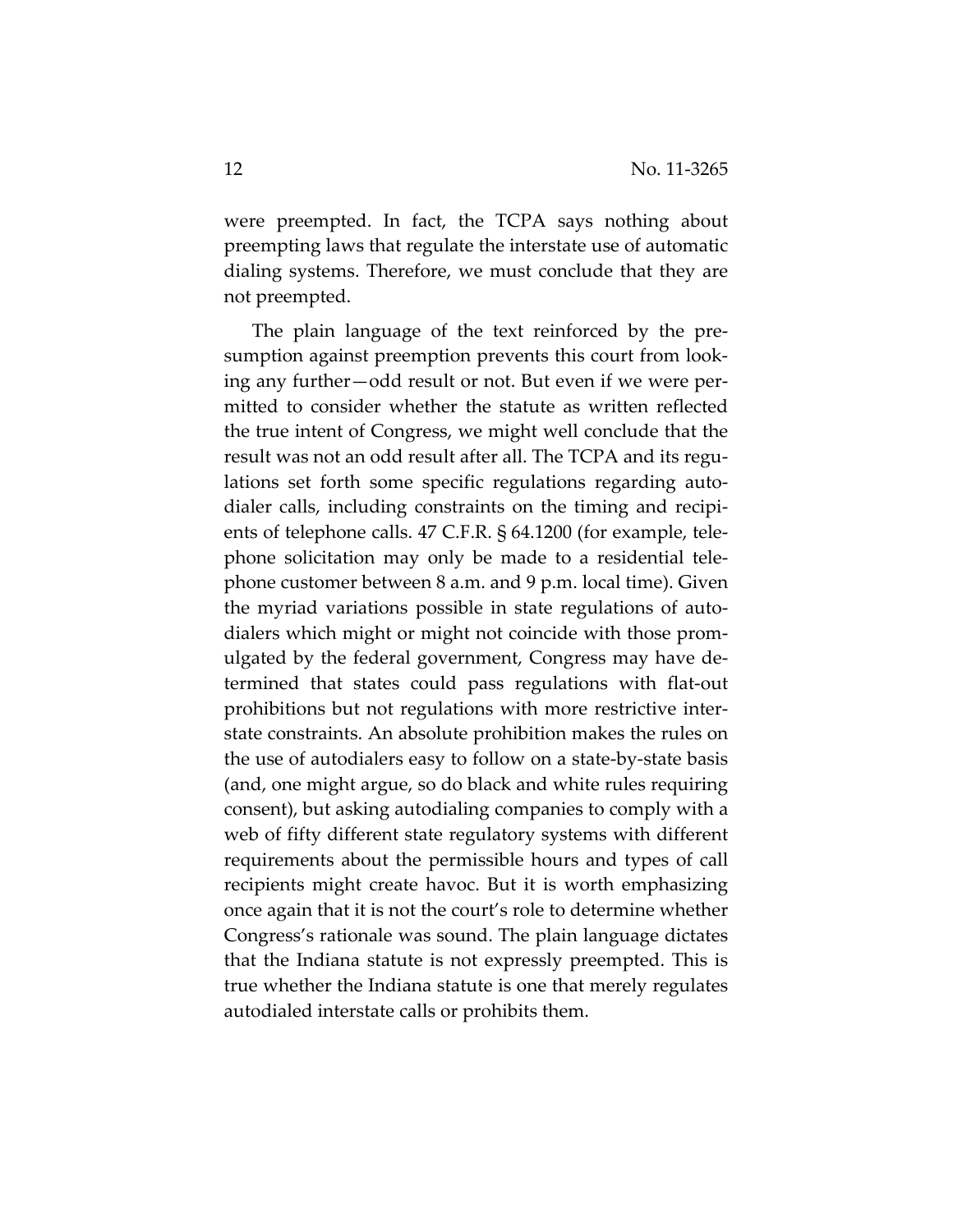were preempted. In fact, the TCPA says nothing about preempting laws that regulate the interstate use of automatic dialing systems. Therefore, we must conclude that they are not preempted.

The plain language of the text reinforced by the pre‐ sumption against preemption prevents this court from look‐ ing any further—odd result or not. But even if we were per‐ mitted to consider whether the statute as written reflected the true intent of Congress, we might well conclude that the result was not an odd result after all. The TCPA and its regu‐ lations set forth some specific regulations regarding auto‐ dialer calls, including constraints on the timing and recipi‐ ents of telephone calls. 47 C.F.R. § 64.1200 (for example, tele‐ phone solicitation may only be made to a residential tele‐ phone customer between 8 a.m. and 9 p.m. local time). Given the myriad variations possible in state regulations of auto‐ dialers which might or might not coincide with those prom‐ ulgated by the federal government, Congress may have de‐ termined that states could pass regulations with flat‐out prohibitions but not regulations with more restrictive inter‐ state constraints. An absolute prohibition makes the rules on the use of autodialers easy to follow on a state‐by‐state basis (and, one might argue, so do black and white rules requiring consent), but asking autodialing companies to comply with a web of fifty different state regulatory systems with different requirements about the permissible hours and types of call recipients might create havoc. But it is worth emphasizing once again that it is not the court's role to determine whether Congress's rationale was sound. The plain language dictates that the Indiana statute is not expressly preempted. This is true whether the Indiana statute is one that merely regulates autodialed interstate calls or prohibits them.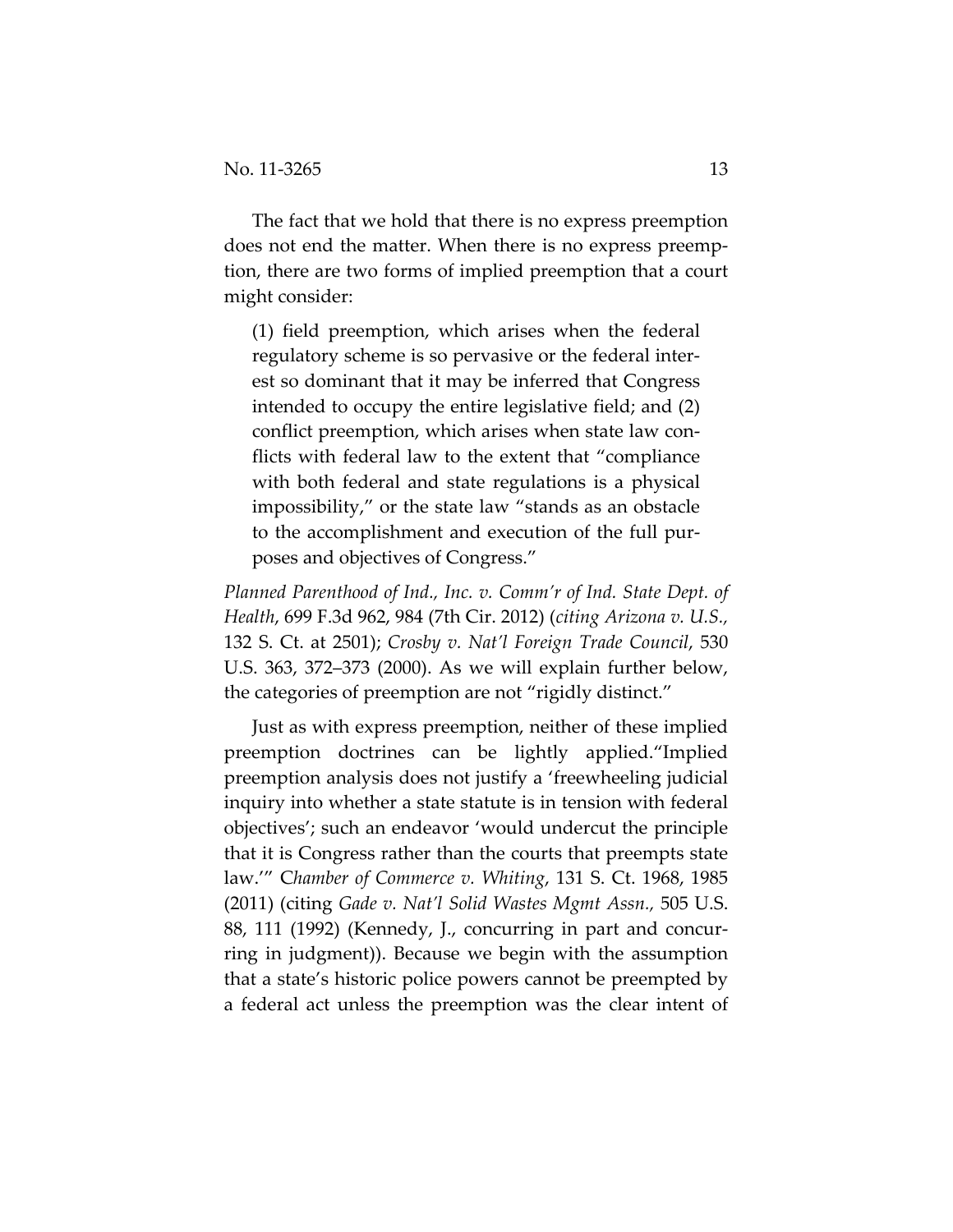The fact that we hold that there is no express preemption does not end the matter. When there is no express preemp‐ tion, there are two forms of implied preemption that a court might consider:

(1) field preemption, which arises when the federal regulatory scheme is so pervasive or the federal inter‐ est so dominant that it may be inferred that Congress intended to occupy the entire legislative field; and (2) conflict preemption, which arises when state law conflicts with federal law to the extent that "compliance with both federal and state regulations is a physical impossibility," or the state law "stands as an obstacle to the accomplishment and execution of the full pur‐ poses and objectives of Congress."

*Planned Parenthood of Ind., Inc. v. Comm'r of Ind. State Dept. of Health*, 699 F.3d 962, 984 (7th Cir. 2012) (*citing Arizona v. U.S.,* 132 S. Ct. at 2501); *Crosby v. Nat'l Foreign Trade Council*, 530 U.S. 363, 372–373 (2000). As we will explain further below, the categories of preemption are not "rigidly distinct."

Just as with express preemption, neither of these implied preemption doctrines can be lightly applied."Implied preemption analysis does not justify a 'freewheeling judicial inquiry into whether a state statute is in tension with federal objectives'; such an endeavor 'would undercut the principle that it is Congress rather than the courts that preempts state law.'" C*hamber of Commerce v. Whiting*, 131 S. Ct. 1968, 1985 (2011) (citing *Gade v. Nat'l Solid Wastes Mgmt Assn.,* 505 U.S. 88, 111 (1992) (Kennedy, J., concurring in part and concur‐ ring in judgment)). Because we begin with the assumption that a state's historic police powers cannot be preempted by a federal act unless the preemption was the clear intent of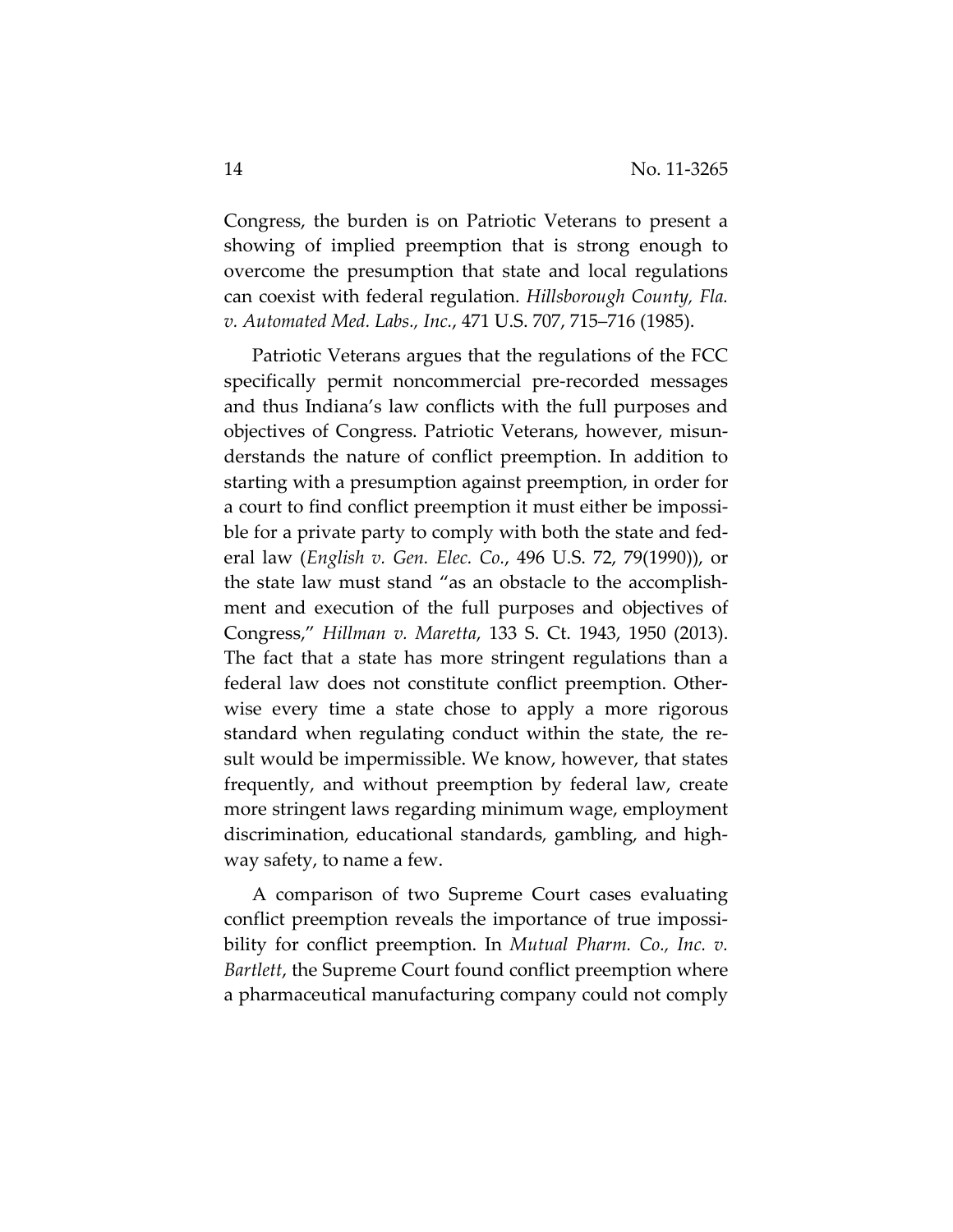Congress, the burden is on Patriotic Veterans to present a showing of implied preemption that is strong enough to overcome the presumption that state and local regulations can coexist with federal regulation. *Hillsborough County, Fla. v. Automated Med. Labs., Inc.*, 471 U.S. 707, 715–716 (1985).

Patriotic Veterans argues that the regulations of the FCC specifically permit noncommercial pre‐recorded messages and thus Indiana's law conflicts with the full purposes and objectives of Congress. Patriotic Veterans, however, misun‐ derstands the nature of conflict preemption. In addition to starting with a presumption against preemption, in order for a court to find conflict preemption it must either be impossi‐ ble for a private party to comply with both the state and fed‐ eral law (*English v. Gen. Elec. Co.*, 496 U.S. 72, 79(1990)), or the state law must stand "as an obstacle to the accomplish‐ ment and execution of the full purposes and objectives of Congress," *Hillman v. Maretta*, 133 S. Ct. 1943, 1950 (2013). The fact that a state has more stringent regulations than a federal law does not constitute conflict preemption. Other‐ wise every time a state chose to apply a more rigorous standard when regulating conduct within the state, the re‐ sult would be impermissible. We know, however, that states frequently, and without preemption by federal law, create more stringent laws regarding minimum wage, employment discrimination, educational standards, gambling, and high‐ way safety, to name a few.

A comparison of two Supreme Court cases evaluating conflict preemption reveals the importance of true impossi‐ bility for conflict preemption. In *Mutual Pharm. Co., Inc. v. Bartlett*, the Supreme Court found conflict preemption where a pharmaceutical manufacturing company could not comply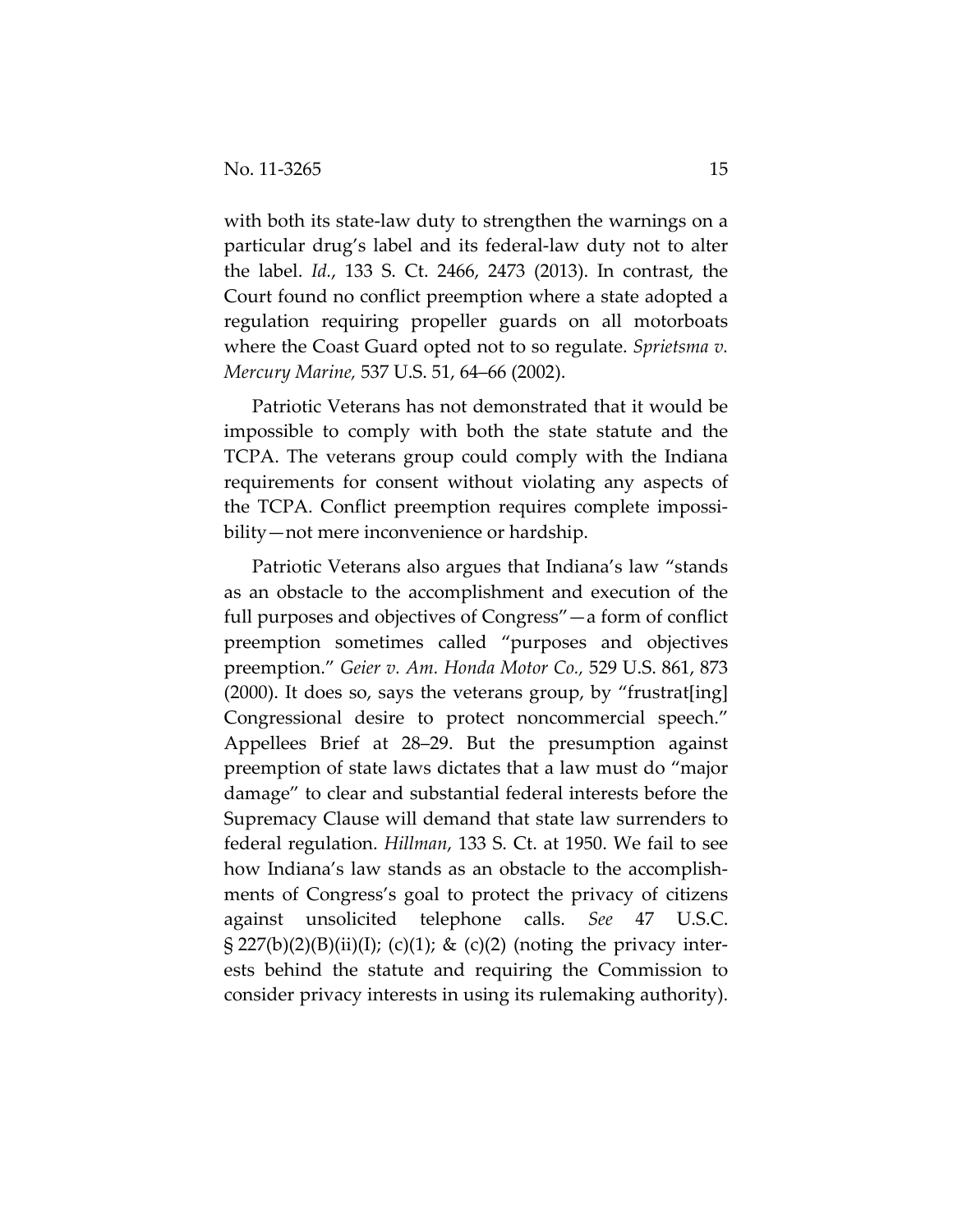with both its state-law duty to strengthen the warnings on a particular drug's label and its federal‐law duty not to alter the label. *Id.*, 133 S. Ct. 2466, 2473 (2013). In contrast, the Court found no conflict preemption where a state adopted a regulation requiring propeller guards on all motorboats where the Coast Guard opted not to so regulate. *Sprietsma v. Mercury Marine,* 537 U.S. 51, 64–66 (2002).

Patriotic Veterans has not demonstrated that it would be impossible to comply with both the state statute and the TCPA. The veterans group could comply with the Indiana requirements for consent without violating any aspects of the TCPA. Conflict preemption requires complete impossi‐ bility—not mere inconvenience or hardship.

Patriotic Veterans also argues that Indiana's law "stands as an obstacle to the accomplishment and execution of the full purposes and objectives of Congress"—a form of conflict preemption sometimes called "purposes and objectives preemption." *Geier v. Am. Honda Motor Co.,* 529 U.S. 861, 873 (2000). It does so, says the veterans group, by "frustrat[ing] Congressional desire to protect noncommercial speech." Appellees Brief at 28–29. But the presumption against preemption of state laws dictates that a law must do "major damage" to clear and substantial federal interests before the Supremacy Clause will demand that state law surrenders to federal regulation. *Hillman*, 133 S. Ct. at 1950. We fail to see how Indiana's law stands as an obstacle to the accomplish‐ ments of Congress's goal to protect the privacy of citizens against unsolicited telephone calls. *See* 47 U.S.C.  $\S 227(b)(2)(B)(ii)(I);$  (c)(1); & (c)(2) (noting the privacy interests behind the statute and requiring the Commission to consider privacy interests in using its rulemaking authority).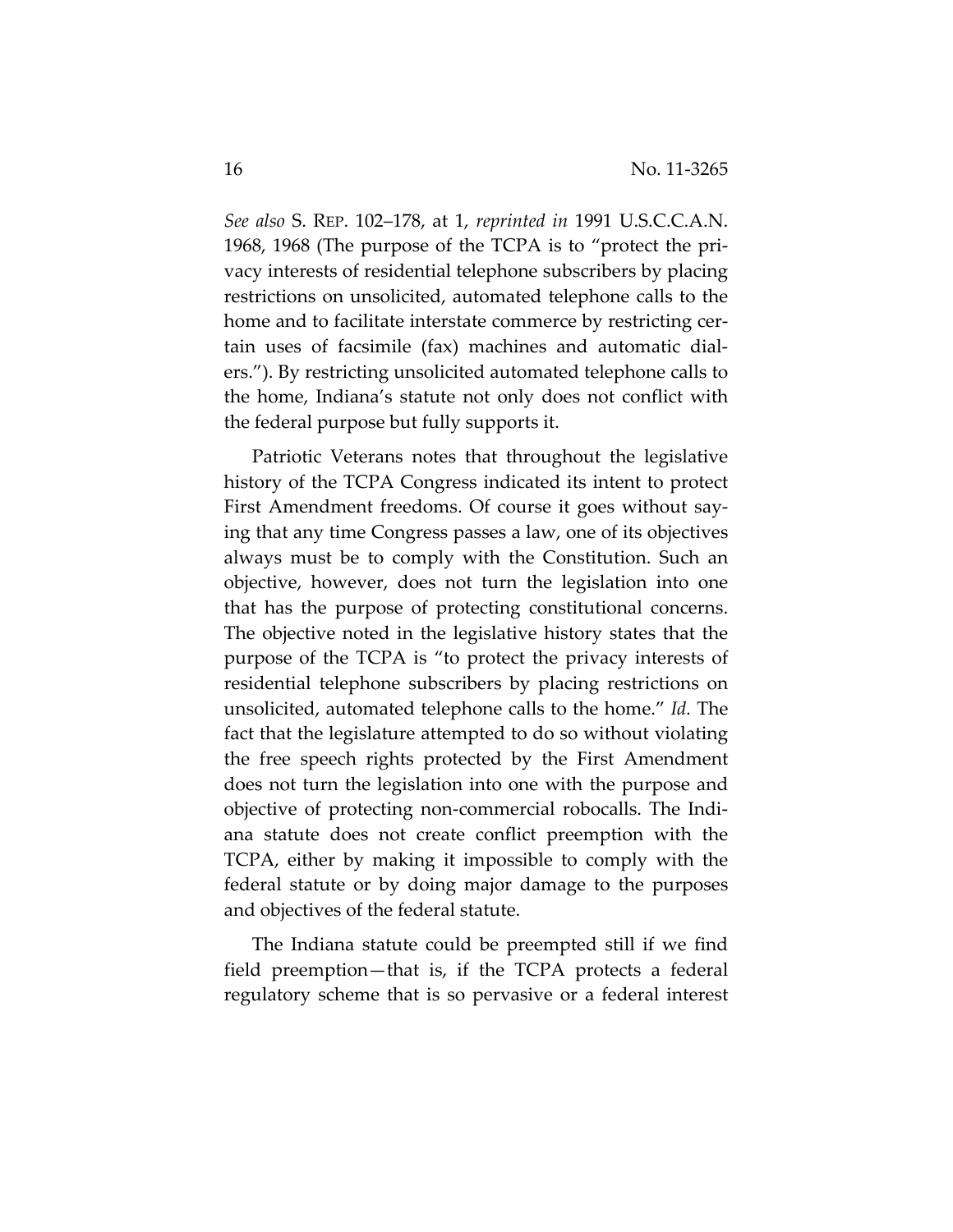*See also* S. REP. 102–178, at 1, *reprinted in* 1991 U.S.C.C.A.N. 1968, 1968 (The purpose of the TCPA is to "protect the pri‐ vacy interests of residential telephone subscribers by placing restrictions on unsolicited, automated telephone calls to the home and to facilitate interstate commerce by restricting cer‐ tain uses of facsimile (fax) machines and automatic dial‐ ers."). By restricting unsolicited automated telephone calls to the home, Indiana's statute not only does not conflict with the federal purpose but fully supports it.

Patriotic Veterans notes that throughout the legislative history of the TCPA Congress indicated its intent to protect First Amendment freedoms. Of course it goes without saying that any time Congress passes a law, one of its objectives always must be to comply with the Constitution. Such an objective, however, does not turn the legislation into one that has the purpose of protecting constitutional concerns. The objective noted in the legislative history states that the purpose of the TCPA is "to protect the privacy interests of residential telephone subscribers by placing restrictions on unsolicited, automated telephone calls to the home." *Id.* The fact that the legislature attempted to do so without violating the free speech rights protected by the First Amendment does not turn the legislation into one with the purpose and objective of protecting non‐commercial robocalls. The Indi‐ ana statute does not create conflict preemption with the TCPA, either by making it impossible to comply with the federal statute or by doing major damage to the purposes and objectives of the federal statute.

The Indiana statute could be preempted still if we find field preemption—that is, if the TCPA protects a federal regulatory scheme that is so pervasive or a federal interest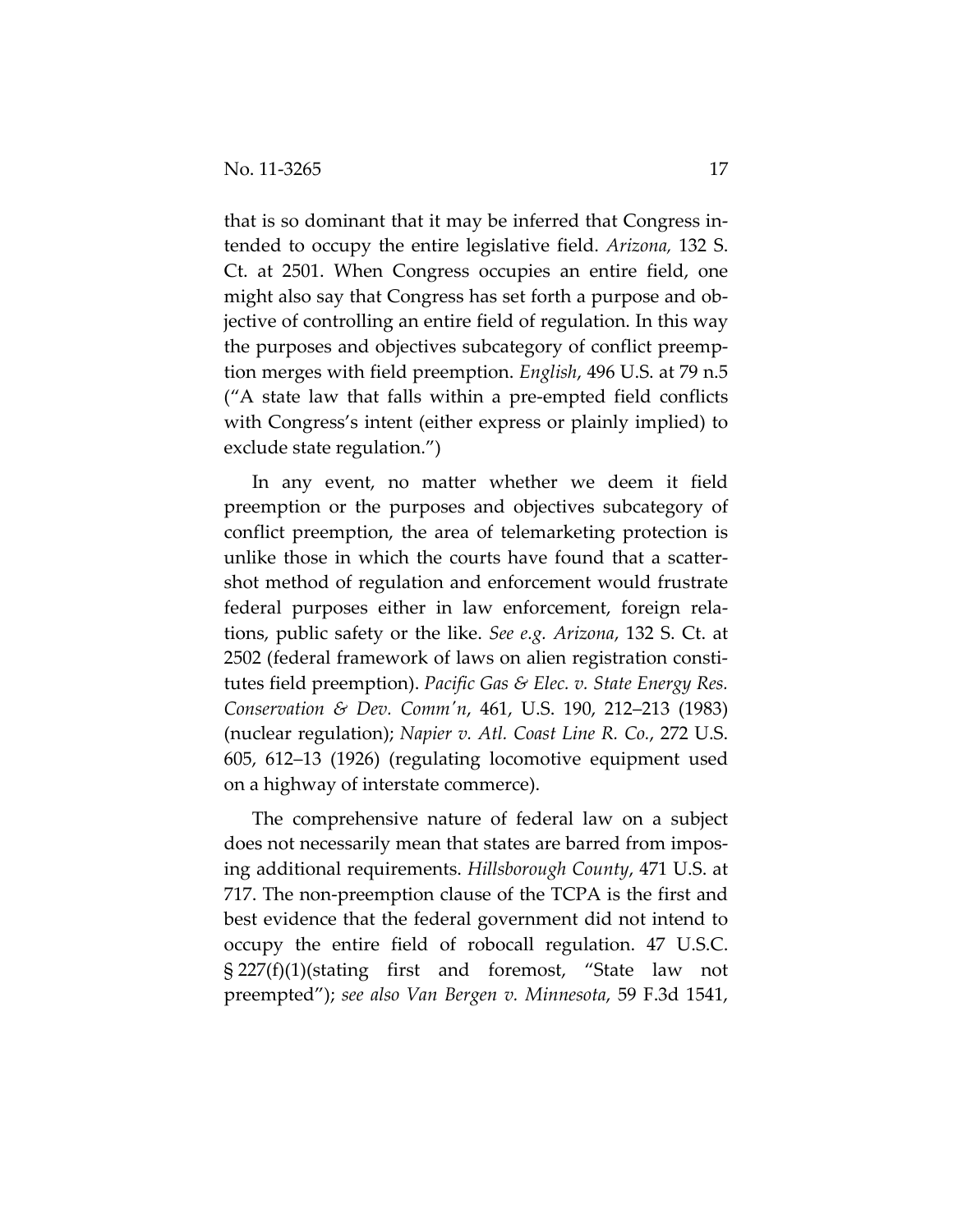that is so dominant that it may be inferred that Congress in‐ tended to occupy the entire legislative field. *Arizona,* 132 S. Ct. at 2501. When Congress occupies an entire field, one might also say that Congress has set forth a purpose and ob‐ jective of controlling an entire field of regulation. In this way the purposes and objectives subcategory of conflict preemp‐ tion merges with field preemption. *English*, 496 U.S. at 79 n.5 ("A state law that falls within a pre‐empted field conflicts with Congress's intent (either express or plainly implied) to exclude state regulation.")

In any event, no matter whether we deem it field preemption or the purposes and objectives subcategory of conflict preemption, the area of telemarketing protection is unlike those in which the courts have found that a scatter‐ shot method of regulation and enforcement would frustrate federal purposes either in law enforcement, foreign rela‐ tions, public safety or the like. *See e.g. Arizona*, 132 S. Ct. at 2502 (federal framework of laws on alien registration consti‐ tutes field preemption). *Pacific Gas & Elec. v. State Energy Res. Conservation & Dev. Commʹn*, 461, U.S. 190, 212–213 (1983) (nuclear regulation); *Napier v. Atl. Coast Line R. Co.*, 272 U.S. 605, 612–13 (1926) (regulating locomotive equipment used on a highway of interstate commerce).

The comprehensive nature of federal law on a subject does not necessarily mean that states are barred from impos‐ ing additional requirements. *Hillsborough County*, 471 U.S. at 717. The non‐preemption clause of the TCPA is the first and best evidence that the federal government did not intend to occupy the entire field of robocall regulation. 47 U.S.C. § 227(f)(1)(stating first and foremost, "State law not preempted"); *see also Van Bergen v. Minnesota*, 59 F.3d 1541,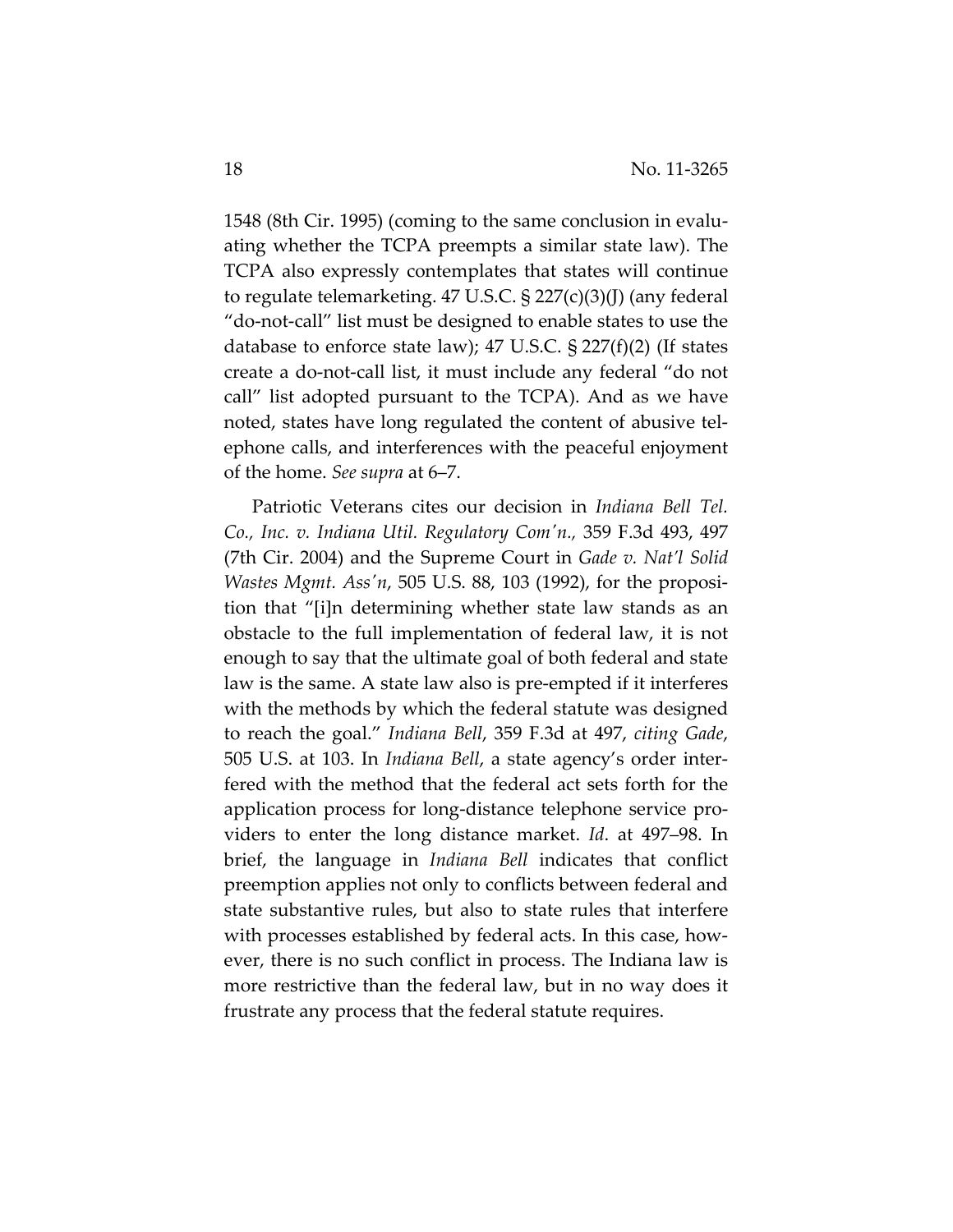1548 (8th Cir. 1995) (coming to the same conclusion in evalu‐ ating whether the TCPA preempts a similar state law). The TCPA also expressly contemplates that states will continue to regulate telemarketing. 47 U.S.C. § 227(c)(3)(J) (any federal "do‐not‐call" list must be designed to enable states to use the database to enforce state law); 47 U.S.C.  $\S 227(f)(2)$  (If states create a do‐not‐call list, it must include any federal "do not call" list adopted pursuant to the TCPA). And as we have noted, states have long regulated the content of abusive tel‐ ephone calls, and interferences with the peaceful enjoyment of the home. *See supra* at 6–7.

Patriotic Veterans cites our decision in *Indiana Bell Tel. Co., Inc. v. Indiana Util. Regulatory Comʹn.,* 359 F.3d 493, 497 (7th Cir. 2004) and the Supreme Court in *Gade v. Nat'l Solid Wastes Mgmt. Assʹn*, 505 U.S. 88, 103 (1992), for the proposi‐ tion that "[i]n determining whether state law stands as an obstacle to the full implementation of federal law, it is not enough to say that the ultimate goal of both federal and state law is the same. A state law also is pre‐empted if it interferes with the methods by which the federal statute was designed to reach the goal." *Indiana Bell*, 359 F.3d at 497, *citing Gade*, 505 U.S. at 103. In *Indiana Bell*, a state agency's order inter‐ fered with the method that the federal act sets forth for the application process for long‐distance telephone service pro‐ viders to enter the long distance market. *Id*. at 497–98. In brief, the language in *Indiana Bell* indicates that conflict preemption applies not only to conflicts between federal and state substantive rules, but also to state rules that interfere with processes established by federal acts. In this case, however, there is no such conflict in process. The Indiana law is more restrictive than the federal law, but in no way does it frustrate any process that the federal statute requires.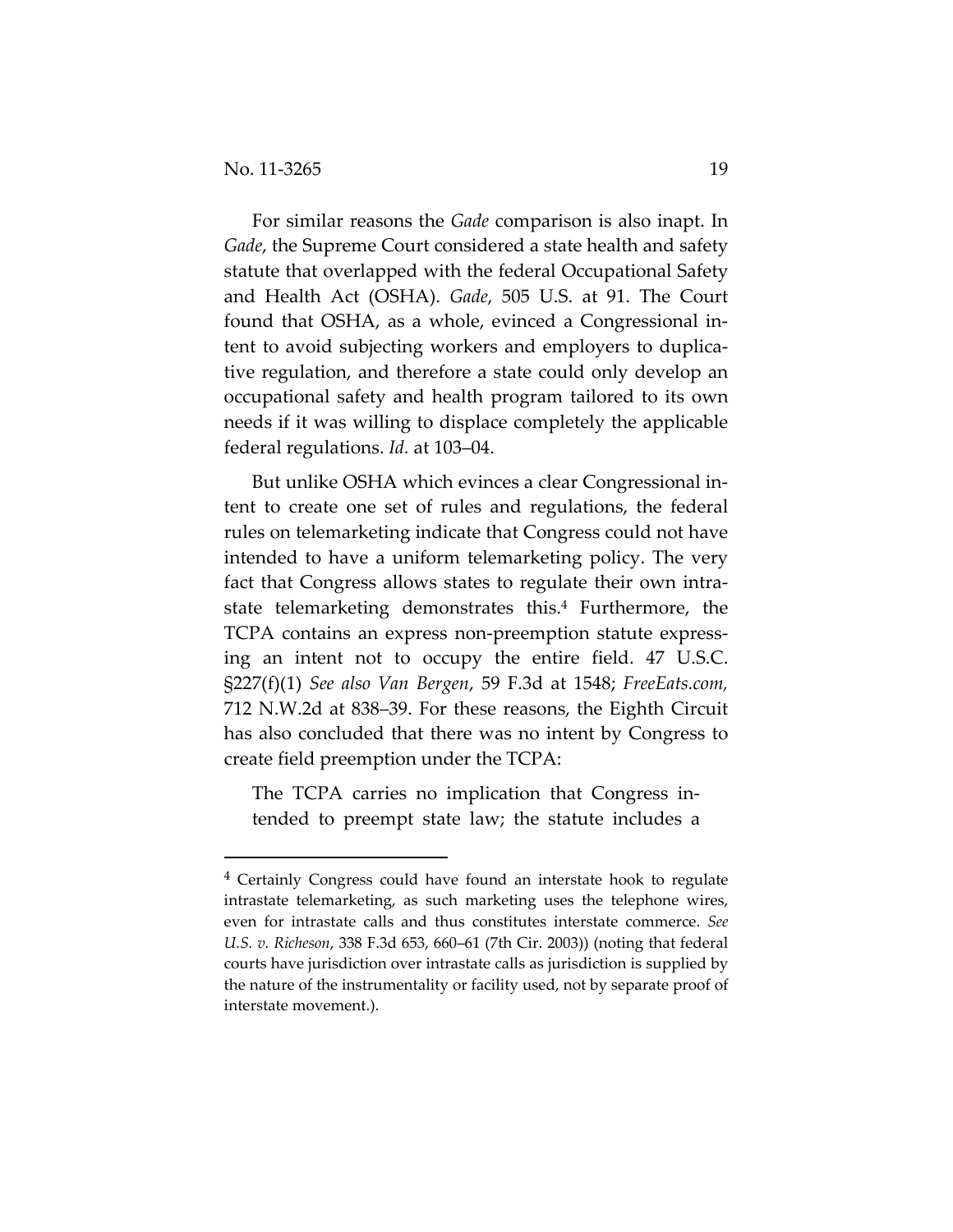For similar reasons the *Gade* comparison is also inapt. In *Gade*, the Supreme Court considered a state health and safety statute that overlapped with the federal Occupational Safety and Health Act (OSHA). *Gade*, 505 U.S. at 91. The Court found that OSHA, as a whole, evinced a Congressional in‐ tent to avoid subjecting workers and employers to duplica‐ tive regulation, and therefore a state could only develop an occupational safety and health program tailored to its own needs if it was willing to displace completely the applicable federal regulations. *Id.* at 103–04.

But unlike OSHA which evinces a clear Congressional in‐ tent to create one set of rules and regulations, the federal rules on telemarketing indicate that Congress could not have intended to have a uniform telemarketing policy. The very fact that Congress allows states to regulate their own intra‐ state telemarketing demonstrates this.4 Furthermore, the TCPA contains an express non‐preemption statute express‐ ing an intent not to occupy the entire field. 47 U.S.C. §227(f)(1) *See also Van Bergen*, 59 F.3d at 1548; *FreeEats.com,* 712 N.W.2d at 838–39. For these reasons, the Eighth Circuit has also concluded that there was no intent by Congress to create field preemption under the TCPA:

The TCPA carries no implication that Congress in‐ tended to preempt state law; the statute includes a

<sup>4</sup> Certainly Congress could have found an interstate hook to regulate intrastate telemarketing, as such marketing uses the telephone wires, even for intrastate calls and thus constitutes interstate commerce. *See U.S. v. Richeson*, 338 F.3d 653, 660–61 (7th Cir. 2003)) (noting that federal courts have jurisdiction over intrastate calls as jurisdiction is supplied by the nature of the instrumentality or facility used, not by separate proof of interstate movement.).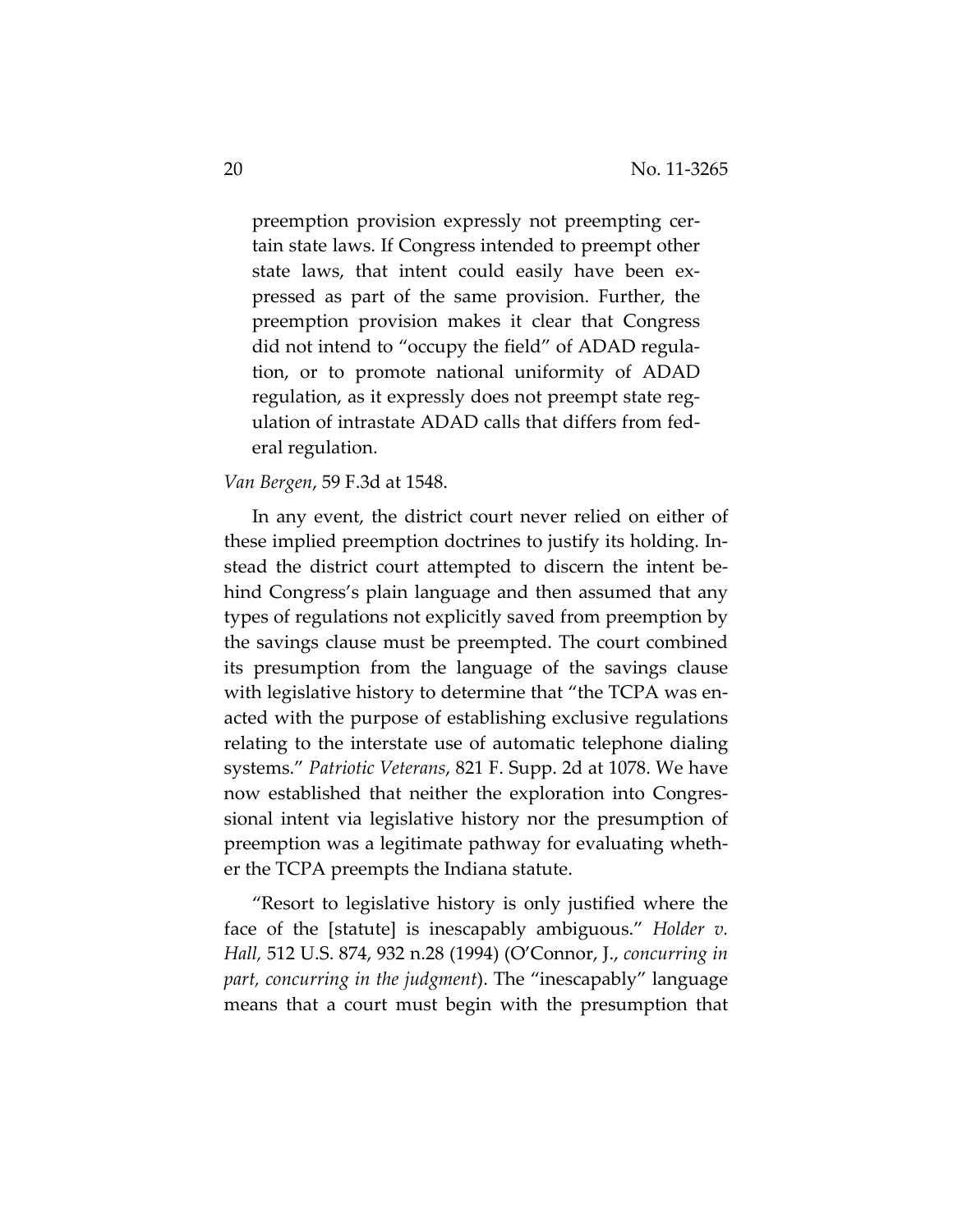preemption provision expressly not preempting certain state laws. If Congress intended to preempt other state laws, that intent could easily have been expressed as part of the same provision. Further, the preemption provision makes it clear that Congress did not intend to "occupy the field" of ADAD regula‐ tion, or to promote national uniformity of ADAD regulation, as it expressly does not preempt state reg‐ ulation of intrastate ADAD calls that differs from fed‐ eral regulation.

*Van Bergen*, 59 F.3d at 1548.

In any event, the district court never relied on either of these implied preemption doctrines to justify its holding. In‐ stead the district court attempted to discern the intent be‐ hind Congress's plain language and then assumed that any types of regulations not explicitly saved from preemption by the savings clause must be preempted. The court combined its presumption from the language of the savings clause with legislative history to determine that "the TCPA was enacted with the purpose of establishing exclusive regulations relating to the interstate use of automatic telephone dialing systems." *Patriotic Veterans*, 821 F. Supp. 2d at 1078. We have now established that neither the exploration into Congressional intent via legislative history nor the presumption of preemption was a legitimate pathway for evaluating wheth‐ er the TCPA preempts the Indiana statute.

"Resort to legislative history is only justified where the face of the [statute] is inescapably ambiguous." *Holder v. Hall,* 512 U.S. 874, 932 n.28 (1994) (O'Connor, J., *concurring in part, concurring in the judgment*). The "inescapably" language means that a court must begin with the presumption that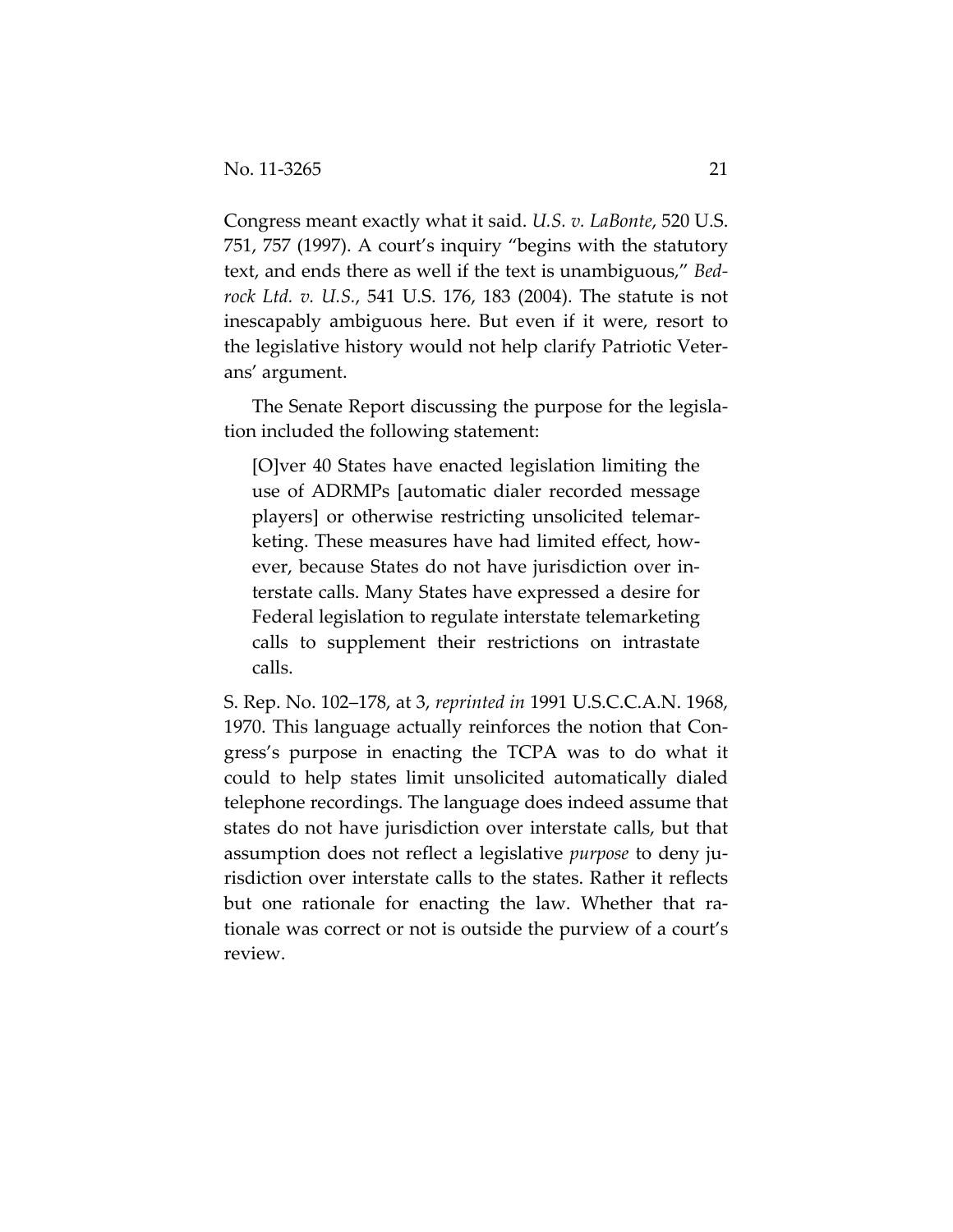Congress meant exactly what it said. *U.S. v. LaBonte*, 520 U.S. 751, 757 (1997). A court's inquiry "begins with the statutory text, and ends there as well if the text is unambiguous," *Bed‐ rock Ltd. v. U.S.*, 541 U.S. 176, 183 (2004). The statute is not inescapably ambiguous here. But even if it were, resort to the legislative history would not help clarify Patriotic Veter‐ ans' argument.

The Senate Report discussing the purpose for the legisla‐ tion included the following statement:

[O]ver 40 States have enacted legislation limiting the use of ADRMPs [automatic dialer recorded message players] or otherwise restricting unsolicited telemar‐ keting. These measures have had limited effect, how‐ ever, because States do not have jurisdiction over in‐ terstate calls. Many States have expressed a desire for Federal legislation to regulate interstate telemarketing calls to supplement their restrictions on intrastate calls.

S. Rep. No. 102–178, at 3, *reprinted in* 1991 U.S.C.C.A.N. 1968, 1970. This language actually reinforces the notion that Con‐ gress's purpose in enacting the TCPA was to do what it could to help states limit unsolicited automatically dialed telephone recordings. The language does indeed assume that states do not have jurisdiction over interstate calls, but that assumption does not reflect a legislative *purpose* to deny ju‐ risdiction over interstate calls to the states. Rather it reflects but one rationale for enacting the law. Whether that ra‐ tionale was correct or not is outside the purview of a court's review.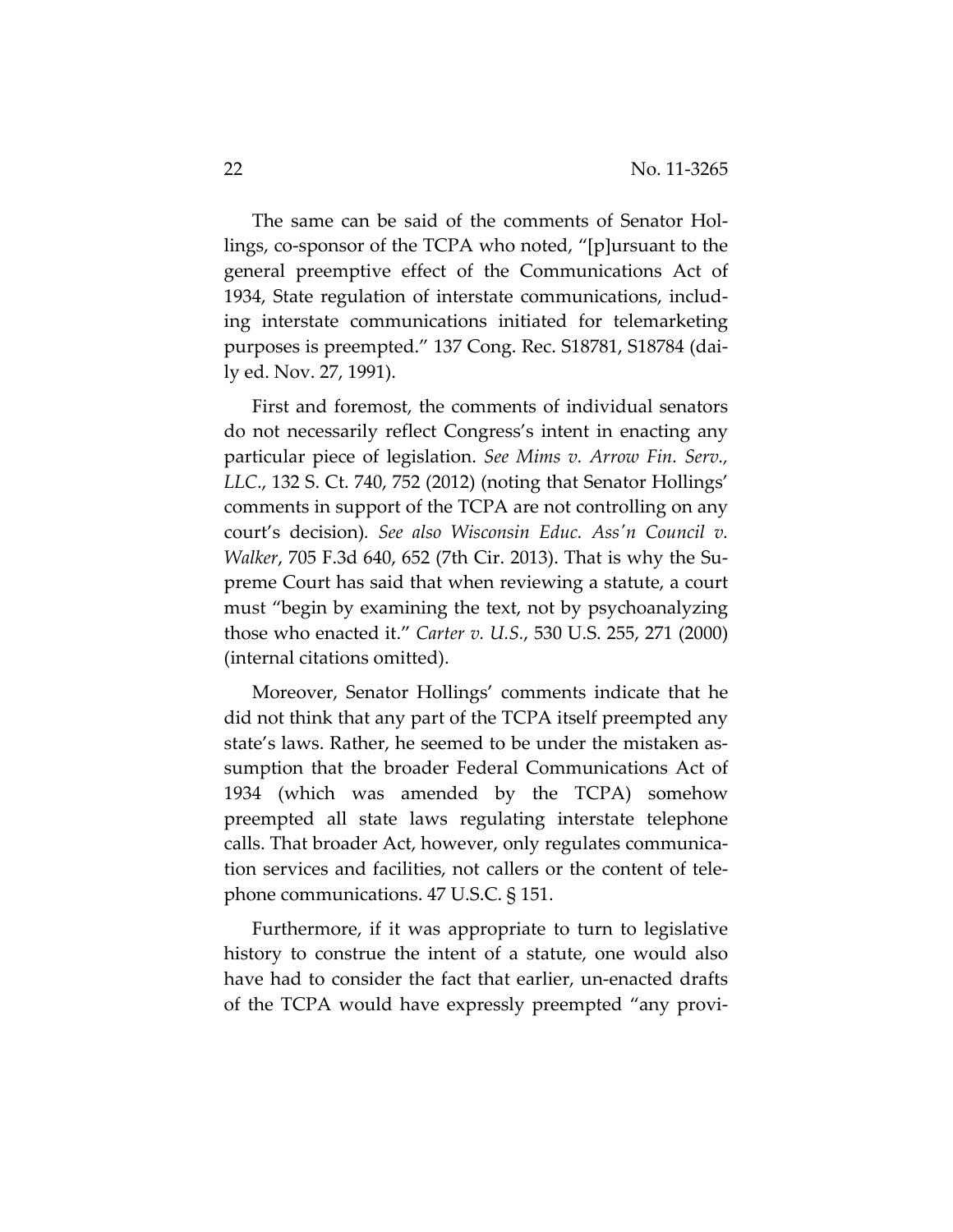The same can be said of the comments of Senator Hollings, co‐sponsor of the TCPA who noted, "[p]ursuant to the general preemptive effect of the Communications Act of 1934, State regulation of interstate communications, includ‐ ing interstate communications initiated for telemarketing purposes is preempted." 137 Cong. Rec. S18781, S18784 (dai‐ ly ed. Nov. 27, 1991).

First and foremost, the comments of individual senators do not necessarily reflect Congress's intent in enacting any particular piece of legislation. *See Mims v. Arrow Fin. Serv., LLC*., 132 S. Ct. 740, 752 (2012) (noting that Senator Hollings' comments in support of the TCPA are not controlling on any court's decision)*. See also Wisconsin Educ. Assʹn Council v. Walker*, 705 F.3d 640, 652 (7th Cir. 2013). That is why the Su‐ preme Court has said that when reviewing a statute, a court must "begin by examining the text, not by psychoanalyzing those who enacted it." *Carter v. U.S.*, 530 U.S. 255, 271 (2000) (internal citations omitted).

Moreover, Senator Hollings' comments indicate that he did not think that any part of the TCPA itself preempted any state's laws. Rather, he seemed to be under the mistaken as‐ sumption that the broader Federal Communications Act of 1934 (which was amended by the TCPA) somehow preempted all state laws regulating interstate telephone calls. That broader Act, however, only regulates communica‐ tion services and facilities, not callers or the content of tele‐ phone communications. 47 U.S.C. § 151.

Furthermore, if it was appropriate to turn to legislative history to construe the intent of a statute, one would also have had to consider the fact that earlier, un-enacted drafts of the TCPA would have expressly preempted "any provi‐